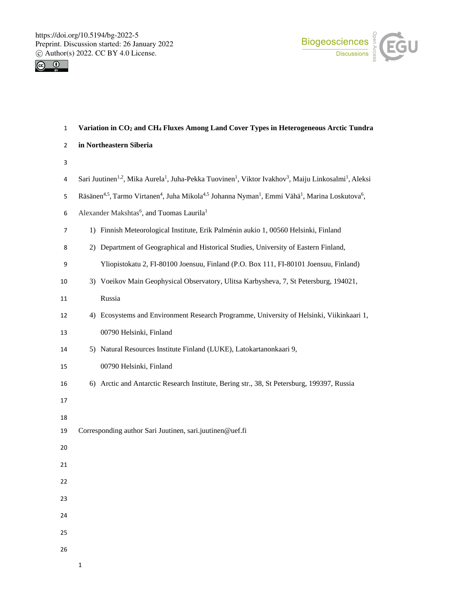



| $\mathbf{1}$   | Variation in CO <sub>2</sub> and CH <sub>4</sub> Fluxes Among Land Cover Types in Heterogeneous Arctic Tundra                                                           |
|----------------|-------------------------------------------------------------------------------------------------------------------------------------------------------------------------|
| $\overline{2}$ | in Northeastern Siberia                                                                                                                                                 |
| 3              |                                                                                                                                                                         |
| 4              | Sari Juutinen <sup>1,2</sup> , Mika Aurela <sup>1</sup> , Juha-Pekka Tuovinen <sup>1</sup> , Viktor Ivakhov <sup>3</sup> , Maiju Linkosalmi <sup>1</sup> , Aleksi       |
| 5              | Räsänen <sup>4,5</sup> , Tarmo Virtanen <sup>4</sup> , Juha Mikola <sup>4,5</sup> Johanna Nyman <sup>1</sup> , Emmi Vähä <sup>1</sup> , Marina Loskutova <sup>6</sup> , |
| 6              | Alexander Makshtas <sup>6</sup> , and Tuomas Laurila <sup>1</sup>                                                                                                       |
| $\overline{7}$ | 1) Finnish Meteorological Institute, Erik Palménin aukio 1, 00560 Helsinki, Finland                                                                                     |
| 8              | 2) Department of Geographical and Historical Studies, University of Eastern Finland,                                                                                    |
| 9              | Yliopistokatu 2, FI-80100 Joensuu, Finland (P.O. Box 111, FI-80101 Joensuu, Finland)                                                                                    |
| 10             | 3) Voeikov Main Geophysical Observatory, Ulitsa Karbysheva, 7, St Petersburg, 194021,                                                                                   |
| 11             | Russia                                                                                                                                                                  |
| 12             | 4) Ecosystems and Environment Research Programme, University of Helsinki, Viikinkaari 1,                                                                                |
| 13             | 00790 Helsinki, Finland                                                                                                                                                 |
| 14             | 5) Natural Resources Institute Finland (LUKE), Latokartanonkaari 9,                                                                                                     |
| 15             | 00790 Helsinki, Finland                                                                                                                                                 |
| 16             | 6) Arctic and Antarctic Research Institute, Bering str., 38, St Petersburg, 199397, Russia                                                                              |
| 17             |                                                                                                                                                                         |
| 18             |                                                                                                                                                                         |
| 19             | Corresponding author Sari Juutinen, sari.juutinen@uef.fi                                                                                                                |
| 20             |                                                                                                                                                                         |
| 21             |                                                                                                                                                                         |
| 22             |                                                                                                                                                                         |
| 23             |                                                                                                                                                                         |
| 24             |                                                                                                                                                                         |
| 25             |                                                                                                                                                                         |
| 26             |                                                                                                                                                                         |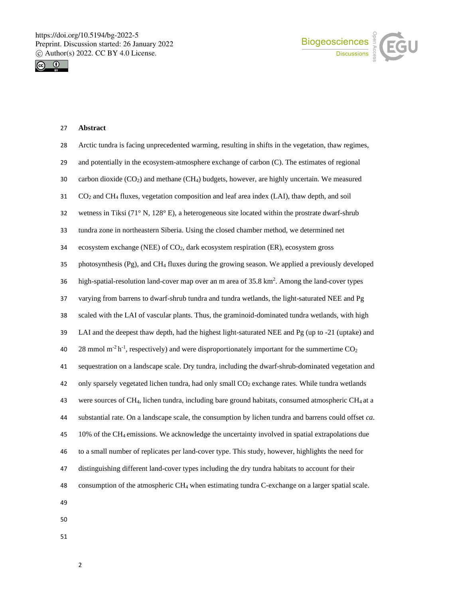



### **Abstract**

| 28 | Arctic tundra is facing unprecedented warming, resulting in shifts in the vegetation, thaw regimes,                        |
|----|----------------------------------------------------------------------------------------------------------------------------|
| 29 | and potentially in the ecosystem-atmosphere exchange of carbon (C). The estimates of regional                              |
| 30 | carbon dioxide $(CO2)$ and methane $(CH4)$ budgets, however, are highly uncertain. We measured                             |
| 31 | $CO2$ and CH <sub>4</sub> fluxes, vegetation composition and leaf area index (LAI), thaw depth, and soil                   |
| 32 | wetness in Tiksi (71 $\degree$ N, 128 $\degree$ E), a heterogeneous site located within the prostrate dwarf-shrub          |
| 33 | tundra zone in northeastern Siberia. Using the closed chamber method, we determined net                                    |
| 34 | ecosystem exchange (NEE) of CO <sub>2</sub> , dark ecosystem respiration (ER), ecosystem gross                             |
| 35 | photosynthesis (Pg), and CH <sub>4</sub> fluxes during the growing season. We applied a previously developed               |
| 36 | high-spatial-resolution land-cover map over an m area of 35.8 km <sup>2</sup> . Among the land-cover types                 |
| 37 | varying from barrens to dwarf-shrub tundra and tundra wetlands, the light-saturated NEE and Pg                             |
| 38 | scaled with the LAI of vascular plants. Thus, the graminoid-dominated tundra wetlands, with high                           |
| 39 | LAI and the deepest thaw depth, had the highest light-saturated NEE and Pg (up to -21 (uptake) and                         |
| 40 | 28 mmol $m2 h-1$ , respectively) and were disproportionately important for the summertime CO <sub>2</sub>                  |
| 41 | sequestration on a landscape scale. Dry tundra, including the dwarf-shrub-dominated vegetation and                         |
| 42 | only sparsely vegetated lichen tundra, had only small CO <sub>2</sub> exchange rates. While tundra wetlands                |
| 43 | were sources of CH <sub>4</sub> , lichen tundra, including bare ground habitats, consumed atmospheric CH <sub>4</sub> at a |
| 44 | substantial rate. On a landscape scale, the consumption by lichen tundra and barrens could offset ca.                      |
| 45 | 10% of the CH <sub>4</sub> emissions. We acknowledge the uncertainty involved in spatial extrapolations due                |
| 46 | to a small number of replicates per land-cover type. This study, however, highlights the need for                          |
| 47 | distinguishing different land-cover types including the dry tundra habitats to account for their                           |
| 48 | consumption of the atmospheric CH <sub>4</sub> when estimating tundra C-exchange on a larger spatial scale.                |
| 49 |                                                                                                                            |
| 50 |                                                                                                                            |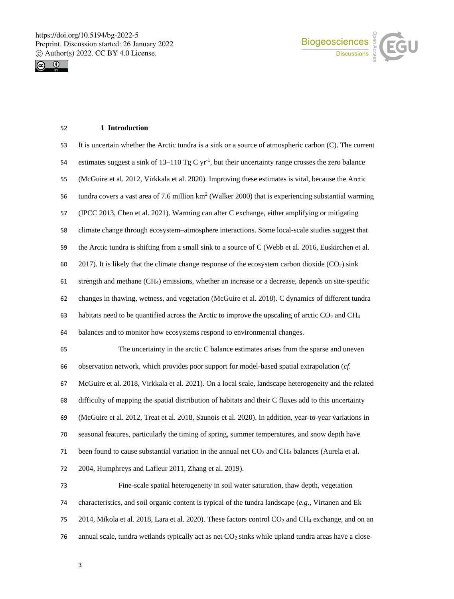



### **1 Introduction**

| 53 | It is uncertain whether the Arctic tundra is a sink or a source of atmospheric carbon (C). The current                     |
|----|----------------------------------------------------------------------------------------------------------------------------|
| 54 | estimates suggest a sink of 13–110 Tg C $yr^{-1}$ , but their uncertainty range crosses the zero balance                   |
| 55 | (McGuire et al. 2012, Virkkala et al. 2020). Improving these estimates is vital, because the Arctic                        |
| 56 | tundra covers a vast area of 7.6 million $km^2$ (Walker 2000) that is experiencing substantial warming                     |
| 57 | (IPCC 2013, Chen et al. 2021). Warming can alter C exchange, either amplifying or mitigating                               |
| 58 | climate change through ecosystem-atmosphere interactions. Some local-scale studies suggest that                            |
| 59 | the Arctic tundra is shifting from a small sink to a source of C (Webb et al. 2016, Euskirchen et al.                      |
| 60 | 2017). It is likely that the climate change response of the ecosystem carbon dioxide $(CO2)$ sink                          |
| 61 | strength and methane (CH <sub>4</sub> ) emissions, whether an increase or a decrease, depends on site-specific             |
| 62 | changes in thawing, wetness, and vegetation (McGuire et al. 2018). C dynamics of different tundra                          |
| 63 | habitats need to be quantified across the Arctic to improve the upscaling of arctic CO <sub>2</sub> and CH <sub>4</sub>    |
| 64 | balances and to monitor how ecosystems respond to environmental changes.                                                   |
| 65 | The uncertainty in the arctic C balance estimates arises from the sparse and uneven                                        |
| 66 | observation network, which provides poor support for model-based spatial extrapolation (cf.                                |
| 67 | McGuire et al. 2018, Virkkala et al. 2021). On a local scale, landscape heterogeneity and the related                      |
| 68 | difficulty of mapping the spatial distribution of habitats and their C fluxes add to this uncertainty                      |
| 69 | (McGuire et al. 2012, Treat et al. 2018, Saunois et al. 2020). In addition, year-to-year variations in                     |
| 70 |                                                                                                                            |
|    | seasonal features, particularly the timing of spring, summer temperatures, and snow depth have                             |
| 71 | been found to cause substantial variation in the annual net CO <sub>2</sub> and CH <sub>4</sub> balances (Aurela et al.    |
| 72 | 2004, Humphreys and Lafleur 2011, Zhang et al. 2019).                                                                      |
| 73 | Fine-scale spatial heterogeneity in soil water saturation, thaw depth, vegetation                                          |
| 74 | characteristics, and soil organic content is typical of the tundra landscape $(e, g, V)$ Virtanen and Ek                   |
| 75 | 2014, Mikola et al. 2018, Lara et al. 2020). These factors control CO <sub>2</sub> and CH <sub>4</sub> exchange, and on an |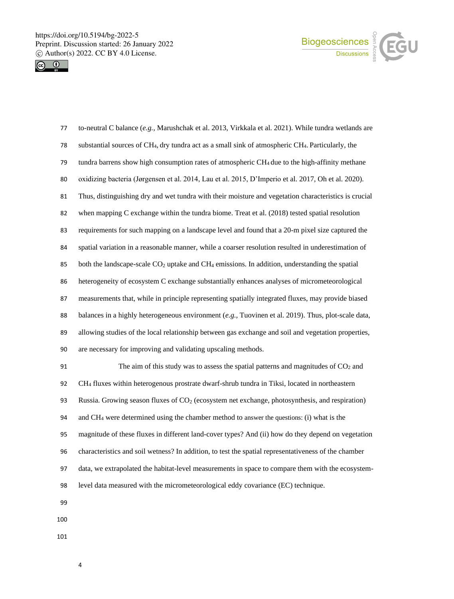



| 77  | to-neutral C balance (e.g., Marushchak et al. 2013, Virkkala et al. 2021). While tundra wetlands are                       |
|-----|----------------------------------------------------------------------------------------------------------------------------|
| 78  | substantial sources of CH <sub>4</sub> , dry tundra act as a small sink of atmospheric CH <sub>4</sub> . Particularly, the |
| 79  | tundra barrens show high consumption rates of atmospheric CH <sub>4</sub> due to the high-affinity methane                 |
| 80  | oxidizing bacteria (Jørgensen et al. 2014, Lau et al. 2015, D'Imperio et al. 2017, Oh et al. 2020).                        |
| 81  | Thus, distinguishing dry and wet tundra with their moisture and vegetation characteristics is crucial                      |
| 82  | when mapping C exchange within the tundra biome. Treat et al. (2018) tested spatial resolution                             |
| 83  | requirements for such mapping on a landscape level and found that a 20-m pixel size captured the                           |
| 84  | spatial variation in a reasonable manner, while a coarser resolution resulted in underestimation of                        |
| 85  | both the landscape-scale $CO2$ uptake and $CH4$ emissions. In addition, understanding the spatial                          |
| 86  | heterogeneity of ecosystem C exchange substantially enhances analyses of micrometeorological                               |
| 87  | measurements that, while in principle representing spatially integrated fluxes, may provide biased                         |
| 88  | balances in a highly heterogeneous environment ( $e.g.,$ Tuovinen et al. 2019). Thus, plot-scale data,                     |
| 89  | allowing studies of the local relationship between gas exchange and soil and vegetation properties,                        |
| 90  | are necessary for improving and validating upscaling methods.                                                              |
| 91  | The aim of this study was to assess the spatial patterns and magnitudes of CO <sub>2</sub> and                             |
| 92  | CH <sub>4</sub> fluxes within heterogenous prostrate dwarf-shrub tundra in Tiksi, located in northeastern                  |
| 93  | Russia. Growing season fluxes of CO <sub>2</sub> (ecosystem net exchange, photosynthesis, and respiration)                 |
| 94  | and CH <sub>4</sub> were determined using the chamber method to answer the questions: (i) what is the                      |
| 95  | magnitude of these fluxes in different land-cover types? And (ii) how do they depend on vegetation                         |
| 96  | characteristics and soil wetness? In addition, to test the spatial representativeness of the chamber                       |
| 97  | data, we extrapolated the habitat-level measurements in space to compare them with the ecosystem-                          |
| 98  | level data measured with the micrometeorological eddy covariance (EC) technique.                                           |
| 99  |                                                                                                                            |
| 100 |                                                                                                                            |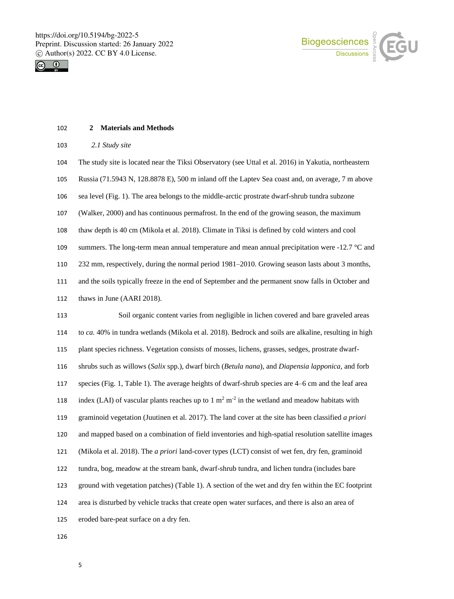



#### **2 Materials and Methods**

| 103 |  | 2.1 Study site |  |
|-----|--|----------------|--|
|-----|--|----------------|--|

 The study site is located near the Tiksi Observatory (see Uttal et al. 2016) in Yakutia, northeastern Russia (71.5943 N, 128.8878 E), 500 m inland off the Laptev Sea coast and, on average, 7 m above sea level (Fig. 1). The area belongs to the middle-arctic prostrate dwarf-shrub tundra subzone (Walker, 2000) and has continuous permafrost. In the end of the growing season, the maximum thaw depth is 40 cm (Mikola et al. 2018). Climate in Tiksi is defined by cold winters and cool 109 summers. The long-term mean annual temperature and mean annual precipitation were  $-12.7 \degree C$  and 232 mm, respectively, during the normal period 1981–2010. Growing season lasts about 3 months, and the soils typically freeze in the end of September and the permanent snow falls in October and thaws in June (AARI 2018). Soil organic content varies from negligible in lichen covered and bare graveled areas to *ca.* 40% in tundra wetlands (Mikola et al. 2018). Bedrock and soils are alkaline, resulting in high plant species richness. Vegetation consists of mosses, lichens, grasses, sedges, prostrate dwarf- shrubs such as willows (*Salix* spp.), dwarf birch (*Betula nana*)*,* and *Diapensia lapponica,* and forb species (Fig. 1, Table 1). The average heights of dwarf-shrub species are 4–6 cm and the leaf area 118 index (LAI) of vascular plants reaches up to  $1 \text{ m}^2 \text{ m}^2$  in the wetland and meadow habitats with graminoid vegetation (Juutinen et al. 2017). The land cover at the site has been classified *a priori* and mapped based on a combination of field inventories and high-spatial resolution satellite images

(Mikola et al. 2018). The *a priori* land-cover types (LCT) consist of wet fen, dry fen, graminoid

tundra, bog, meadow at the stream bank, dwarf-shrub tundra, and lichen tundra (includes bare

ground with vegetation patches) (Table 1). A section of the wet and dry fen within the EC footprint

area is disturbed by vehicle tracks that create open water surfaces, and there is also an area of

eroded bare-peat surface on a dry fen.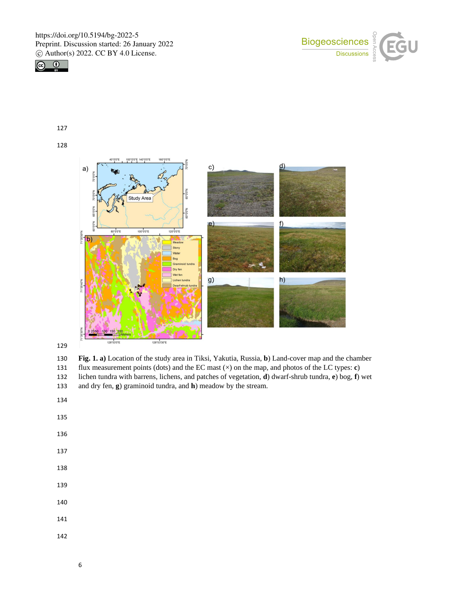





 **Fig. 1. a)** Location of the study area in Tiksi, Yakutia, Russia, **b**) Land-cover map and the chamber flux measurement points (dots) and the EC mast (×) on the map, and photos of the LC types: **c**) lichen tundra with barrens, lichens, and patches of vegetation, **d**) dwarf-shrub tundra, **e**) bog, **f**) wet and dry fen, **g**) graminoid tundra, and **h**) meadow by the stream.

- 
- 
- 
-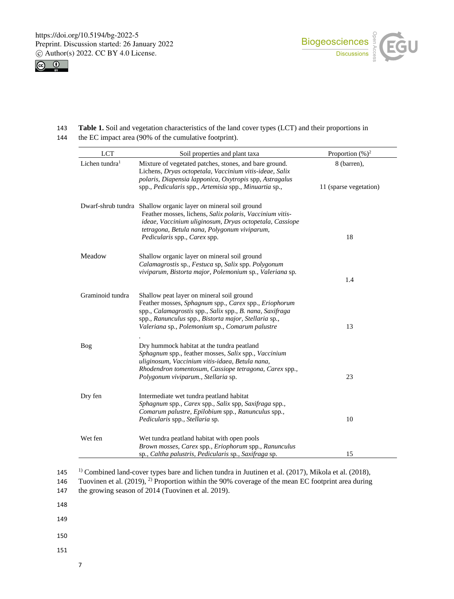



- 143 **Table 1.** Soil and vegetation characteristics of the land cover types (LCT) and their proportions in
- 144 the EC impact area (90% of the cumulative footprint).

| <b>LCT</b>                 | Soil properties and plant taxa                                                                                                                                                                                                                                                       | Proportion $(\%)^2$                   |
|----------------------------|--------------------------------------------------------------------------------------------------------------------------------------------------------------------------------------------------------------------------------------------------------------------------------------|---------------------------------------|
| Lichen tundra <sup>1</sup> | Mixture of vegetated patches, stones, and bare ground.<br>Lichens, Dryas octopetala, Vaccinium vitis-ideae, Salix<br>polaris, Diapensia lapponica, Oxytropis spp, Astragalus<br>spp., Pedicularis spp., Artemisia spp., Minuartia sp.,                                               | 8 (barren),<br>11 (sparse vegetation) |
|                            | Dwarf-shrub tundra Shallow organic layer on mineral soil ground<br>Feather mosses, lichens, Salix polaris, Vaccinium vitis-<br>ideae, Vaccinium uliginosum, Dryas octopetala, Cassiope<br>tetragona, Betula nana, Polygonum viviparum,<br><i>Pedicularis</i> spp., <i>Carex</i> spp. | 18                                    |
| Meadow                     | Shallow organic layer on mineral soil ground<br>Calamagrostis sp., Festuca sp, Salix spp. Polygonum<br>viviparum, Bistorta major, Polemonium sp., Valeriana sp.                                                                                                                      | 1.4                                   |
| Graminoid tundra           | Shallow peat layer on mineral soil ground<br>Feather mosses, Sphagnum spp., Carex spp., Eriophorum<br>spp., Calamagrostis spp., Salix spp., B. nana, Saxifraga<br>spp., Ranunculus spp., Bistorta major, Stellaria sp.,<br>Valeriana sp., Polemonium sp., Comarum palustre           | 13                                    |
| Bog                        | Dry hummock habitat at the tundra peatland<br>Sphagnum spp., feather mosses, Salix spp., Vaccinium<br>uliginosum, Vaccinium vitis-idaea, Betula nana,<br>Rhodendron tomentosum, Cassiope tetragona, Carex spp.,<br>Polygonum viviparum., Stellaria sp.                               | 23                                    |
| Dry fen                    | Intermediate wet tundra peatland habitat<br>Sphagnum spp., Carex spp., Salix spp, Saxifraga spp.,<br>Comarum palustre, Epilobium spp., Ranunculus spp.,<br>Pedicularis spp., Stellaria sp.                                                                                           | 10                                    |
| Wet fen                    | Wet tundra peatland habitat with open pools<br>Brown mosses, Carex spp., Eriophorum spp., Ranunculus<br>sp., Caltha palustris, Pedicularis sp., Saxifraga sp.                                                                                                                        | 15                                    |

1) 145 Combined land-cover types bare and lichen tundra in Juutinen et al. (2017), Mikola et al. (2018),

- 147 the growing season of 2014 (Tuovinen et al. 2019).
- 148
- 149
- 150
- 151
- 7

<sup>146</sup> Tuovinen et al.  $(2019)$ , <sup>2)</sup> Proportion within the 90% coverage of the mean EC footprint area during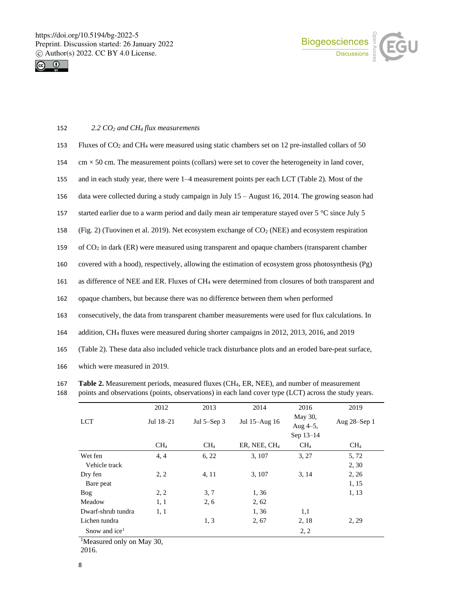



# 152 *2.2 CO<sup>2</sup> and CH<sup>4</sup> flux measurements*

| 153 | Fluxes of $CO2$ and CH <sub>4</sub> were measured using static chambers set on 12 pre-installed collars of 50          |
|-----|------------------------------------------------------------------------------------------------------------------------|
| 154 | $\text{cm} \times 50 \text{ cm}$ . The measurement points (collars) were set to cover the heterogeneity in land cover, |
| 155 | and in each study year, there were 1–4 measurement points per each LCT (Table 2). Most of the                          |
| 156 | data were collected during a study campaign in July $15 -$ August 16, 2014. The growing season had                     |
| 157 | started earlier due to a warm period and daily mean air temperature stayed over 5 °C since July 5                      |
| 158 | (Fig. 2) (Tuovinen et al. 2019). Net ecosystem exchange of $CO2$ (NEE) and ecosystem respiration                       |
| 159 | of $CO2$ in dark (ER) were measured using transparent and opaque chambers (transparent chamber                         |
| 160 | covered with a hood), respectively, allowing the estimation of ecosystem gross photosynthesis (Pg)                     |
| 161 | as difference of NEE and ER. Fluxes of CH <sub>4</sub> were determined from closures of both transparent and           |
| 162 | opaque chambers, but because there was no difference between them when performed                                       |
| 163 | consecutively, the data from transparent chamber measurements were used for flux calculations. In                      |
| 164 | addition, CH <sub>4</sub> fluxes were measured during shorter campaigns in 2012, 2013, 2016, and 2019                  |
| 165 | (Table 2). These data also included vehicle track disturbance plots and an eroded bare-peat surface,                   |
| 166 | which were measured in 2019.                                                                                           |

167 **Table 2.** Measurement periods, measured fluxes (CH4, ER, NEE), and number of measurement

|  |  |  |  | 168 points and observations (points, observations) in each land cover type (LCT) across the study years. |
|--|--|--|--|----------------------------------------------------------------------------------------------------------|
|--|--|--|--|----------------------------------------------------------------------------------------------------------|

| 2012            | 2013              | 2014                     | 2016                   | 2019            |
|-----------------|-------------------|--------------------------|------------------------|-----------------|
| Jul 18-21       | Jul $5 -$ Sep $3$ | Jul 15-Aug 16            | May 30,<br>Aug $4-5$ , | Aug 28-Sep 1    |
|                 |                   |                          | Sep 13-14              |                 |
| CH <sub>4</sub> | CH <sub>4</sub>   | ER, NEE, CH <sub>4</sub> | CH <sub>4</sub>        | CH <sub>4</sub> |
| 4, 4            | 6, 22             | 3, 107                   | 3, 27                  | 5,72            |
|                 |                   |                          |                        | 2, 30           |
| 2, 2            | 4, 11             | 3, 107                   | 3, 14                  | 2, 26           |
|                 |                   |                          |                        | 1, 15           |
| 2, 2            | 3, 7              | 1,36                     |                        | 1, 13           |
| 1, 1            | 2, 6              | 2, 62                    |                        |                 |
| 1, 1            |                   | 1,36                     | 1,1                    |                 |
|                 | 1, 3              | 2, 67                    | 2, 18                  | 2, 29           |
|                 |                   |                          | 2, 2                   |                 |
|                 |                   |                          |                        |                 |

<sup>1</sup>Measured only on May 30,

2016.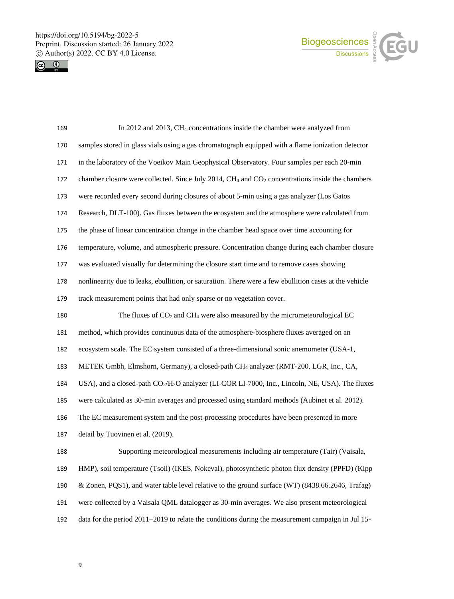



| 169 | In 2012 and 2013, CH <sub>4</sub> concentrations inside the chamber were analyzed from                                  |
|-----|-------------------------------------------------------------------------------------------------------------------------|
| 170 | samples stored in glass vials using a gas chromatograph equipped with a flame ionization detector                       |
| 171 | in the laboratory of the Voeikov Main Geophysical Observatory. Four samples per each 20-min                             |
| 172 | chamber closure were collected. Since July 2014, $CH4$ and $CO2$ concentrations inside the chambers                     |
| 173 | were recorded every second during closures of about 5-min using a gas analyzer (Los Gatos                               |
| 174 | Research, DLT-100). Gas fluxes between the ecosystem and the atmosphere were calculated from                            |
| 175 | the phase of linear concentration change in the chamber head space over time accounting for                             |
| 176 | temperature, volume, and atmospheric pressure. Concentration change during each chamber closure                         |
| 177 | was evaluated visually for determining the closure start time and to remove cases showing                               |
| 178 | nonlinearity due to leaks, ebullition, or saturation. There were a few ebullition cases at the vehicle                  |
| 179 | track measurement points that had only sparse or no vegetation cover.                                                   |
| 180 | The fluxes of $CO2$ and CH <sub>4</sub> were also measured by the micrometeorological EC                                |
| 181 | method, which provides continuous data of the atmosphere-biosphere fluxes averaged on an                                |
| 182 | ecosystem scale. The EC system consisted of a three-dimensional sonic anemometer (USA-1,                                |
| 183 | METEK Gmbh, Elmshorn, Germany), a closed-path CH <sub>4</sub> analyzer (RMT-200, LGR, Inc., CA,                         |
| 184 | USA), and a closed-path CO <sub>2</sub> /H <sub>2</sub> O analyzer (LI-COR LI-7000, Inc., Lincoln, NE, USA). The fluxes |
| 185 | were calculated as 30-min averages and processed using standard methods (Aubinet et al. 2012).                          |
| 186 | The EC measurement system and the post-processing procedures have been presented in more                                |
| 187 | detail by Tuovinen et al. (2019).                                                                                       |
| 188 | Supporting meteorological measurements including air temperature (Tair) (Vaisala,                                       |
| 189 | HMP), soil temperature (Tsoil) (IKES, Nokeval), photosynthetic photon flux density (PPFD) (Kipp                         |
| 190 | & Zonen, PQS1), and water table level relative to the ground surface (WT) (8438.66.2646, Trafag)                        |
| 191 | were collected by a Vaisala QML datalogger as 30-min averages. We also present meteorological                           |
| 192 | data for the period 2011–2019 to relate the conditions during the measurement campaign in Jul 15-                       |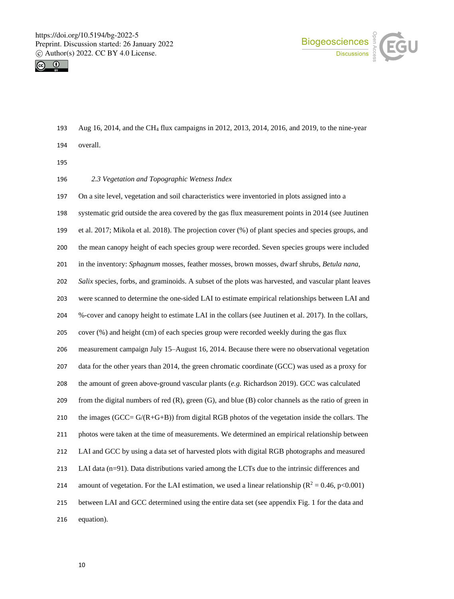



- Aug 16, 2014, and the CH<sup>4</sup> flux campaigns in 2012, 2013, 2014, 2016, and 2019, to the nine-year
- overall.
- 
- *2.3 Vegetation and Topographic Wetness Index*
- On a site level, vegetation and soil characteristics were inventoried in plots assigned into a
- systematic grid outside the area covered by the gas flux measurement points in 2014 (see Juutinen
- et al. 2017; Mikola et al. 2018). The projection cover (%) of plant species and species groups, and
- the mean canopy height of each species group were recorded. Seven species groups were included
- in the inventory: *Sphagnum* mosses, feather mosses, brown mosses, dwarf shrubs, *Betula nana*,
- *Salix* species, forbs, and graminoids. A subset of the plots was harvested, and vascular plant leaves
- were scanned to determine the one-sided LAI to estimate empirical relationships between LAI and
- %-cover and canopy height to estimate LAI in the collars (see Juutinen et al. 2017). In the collars,
- cover (%) and height (cm) of each species group were recorded weekly during the gas flux
- measurement campaign July 15–August 16, 2014. Because there were no observational vegetation
- data for the other years than 2014, the green chromatic coordinate (GCC) was used as a proxy for
- the amount of green above-ground vascular plants (*e.g.* Richardson 2019). GCC was calculated
- from the digital numbers of red (R), green (G), and blue (B) color channels as the ratio of green in
- 210 the images (GCC=  $G/(R+G+B)$ ) from digital RGB photos of the vegetation inside the collars. The
- photos were taken at the time of measurements. We determined an empirical relationship between
- LAI and GCC by using a data set of harvested plots with digital RGB photographs and measured
- LAI data (n=91). Data distributions varied among the LCTs due to the intrinsic differences and
- 214 amount of vegetation. For the LAI estimation, we used a linear relationship ( $\mathbb{R}^2 = 0.46$ , p<0.001)
- between LAI and GCC determined using the entire data set (see appendix Fig. 1 for the data and
- equation).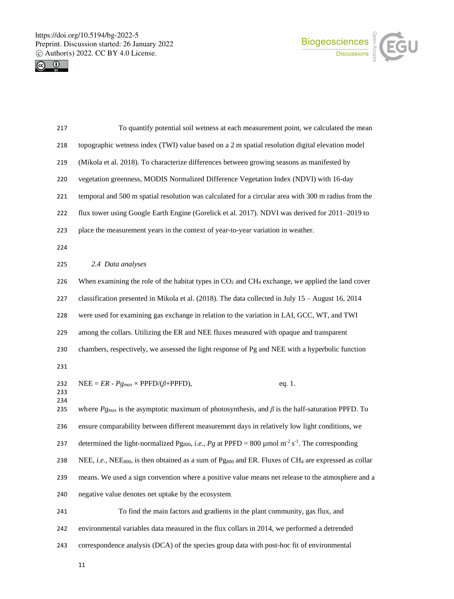



| 217        | To quantify potential soil wetness at each measurement point, we calculated the mean                                                     |
|------------|------------------------------------------------------------------------------------------------------------------------------------------|
| 218        | topographic wetness index (TWI) value based on a 2 m spatial resolution digital elevation model                                          |
| 219        | (Mikola et al. 2018). To characterize differences between growing seasons as manifested by                                               |
| 220        | vegetation greenness, MODIS Normalized Difference Vegetation Index (NDVI) with 16-day                                                    |
| 221        | temporal and 500 m spatial resolution was calculated for a circular area with 300 m radius from the                                      |
| 222        | flux tower using Google Earth Engine (Gorelick et al. 2017). NDVI was derived for 2011–2019 to                                           |
| 223        | place the measurement years in the context of year-to-year variation in weather.                                                         |
| 224        |                                                                                                                                          |
| 225        | 2.4 Data analyses                                                                                                                        |
| 226        | When examining the role of the habitat types in $CO2$ and CH <sub>4</sub> exchange, we applied the land cover                            |
| 227        | classification presented in Mikola et al. (2018). The data collected in July 15 - August 16, 2014                                        |
| 228        | were used for examining gas exchange in relation to the variation in LAI, GCC, WT, and TWI                                               |
| 229        | among the collars. Utilizing the ER and NEE fluxes measured with opaque and transparent                                                  |
| 230        | chambers, respectively, we assessed the light response of Pg and NEE with a hyperbolic function                                          |
| 231        |                                                                                                                                          |
| 232<br>233 | NEE = $ER$ - $Pg_{max}$ × PPFD/( $\beta$ +PPFD),<br>eq. 1.                                                                               |
| 234<br>235 | where $P_{g_{max}}$ is the asymptotic maximum of photosynthesis, and $\beta$ is the half-saturation PPFD. To                             |
| 236        | ensure comparability between different measurement days in relatively low light conditions, we                                           |
| 237        | determined the light-normalized Pgsoo, <i>i.e.</i> , Pg at PPFD = 800 µmol m <sup>-2</sup> s <sup>-1</sup> . The corresponding           |
| 238        | NEE, i.e., NEE <sub>800</sub> , is then obtained as a sum of Pg <sub>800</sub> and ER. Fluxes of CH <sub>4</sub> are expressed as collar |
| 239        | means. We used a sign convention where a positive value means net release to the atmosphere and a                                        |
| 240        | negative value denotes net uptake by the ecosystem.                                                                                      |
| 241        | To find the main factors and gradients in the plant community, gas flux, and                                                             |
| 242        | environmental variables data measured in the flux collars in 2014, we performed a detrended                                              |
| 243        | correspondence analysis (DCA) of the species group data with post-hoc fit of environmental                                               |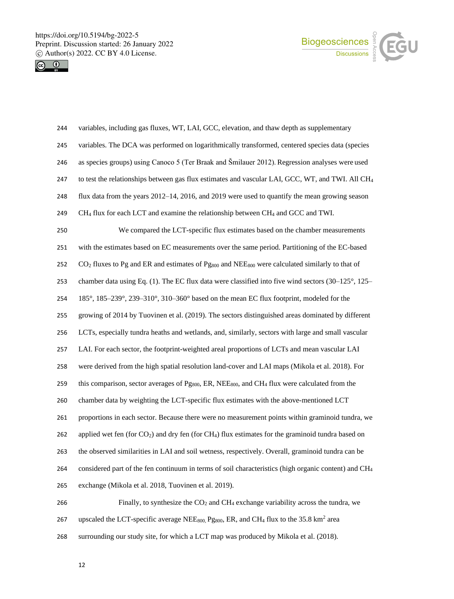



| 244 | variables, including gas fluxes, WT, LAI, GCC, elevation, and thaw depth as supplementary                                               |
|-----|-----------------------------------------------------------------------------------------------------------------------------------------|
| 245 | variables. The DCA was performed on logarithmically transformed, centered species data (species                                         |
| 246 | as species groups) using Canoco 5 (Ter Braak and Šmilauer 2012). Regression analyses were used                                          |
| 247 | to test the relationships between gas flux estimates and vascular LAI, GCC, WT, and TWI. All CH <sub>4</sub>                            |
| 248 | flux data from the years $2012-14$ , $2016$ , and $2019$ were used to quantify the mean growing season                                  |
| 249 | $CH4$ flux for each LCT and examine the relationship between CH <sub>4</sub> and GCC and TWI.                                           |
| 250 | We compared the LCT-specific flux estimates based on the chamber measurements                                                           |
| 251 | with the estimates based on EC measurements over the same period. Partitioning of the EC-based                                          |
| 252 | CO <sub>2</sub> fluxes to Pg and ER and estimates of Pg <sub>800</sub> and NEE <sub>800</sub> were calculated similarly to that of      |
| 253 | chamber data using Eq. (1). The EC flux data were classified into five wind sectors $(30-125^{\circ}, 125-$                             |
| 254 | 185°, 185–239°, 239–310°, 310–360° based on the mean EC flux footprint, modeled for the                                                 |
| 255 | growing of 2014 by Tuovinen et al. (2019). The sectors distinguished areas dominated by different                                       |
| 256 | LCTs, especially tundra heaths and wetlands, and, similarly, sectors with large and small vascular                                      |
| 257 | LAI. For each sector, the footprint-weighted areal proportions of LCTs and mean vascular LAI                                            |
| 258 | were derived from the high spatial resolution land-cover and LAI maps (Mikola et al. 2018). For                                         |
| 259 | this comparison, sector averages of Pg <sub>800</sub> , ER, NEE <sub>800</sub> , and CH <sub>4</sub> flux were calculated from the      |
| 260 | chamber data by weighting the LCT-specific flux estimates with the above-mentioned LCT                                                  |
| 261 | proportions in each sector. Because there were no measurement points within graminoid tundra, we                                        |
| 262 | applied wet fen (for $CO2$ ) and dry fen (for CH <sub>4</sub> ) flux estimates for the graminoid tundra based on                        |
| 263 | the observed similarities in LAI and soil wetness, respectively. Overall, graminoid tundra can be                                       |
| 264 | considered part of the fen continuum in terms of soil characteristics (high organic content) and CH <sub>4</sub>                        |
| 265 | exchange (Mikola et al. 2018, Tuovinen et al. 2019).                                                                                    |
| 266 | Finally, to synthesize the $CO2$ and $CH4$ exchange variability across the tundra, we                                                   |
| 267 | upscaled the LCT-specific average NEE <sub>800,</sub> Pg <sub>800</sub> , ER, and CH <sub>4</sub> flux to the 35.8 km <sup>2</sup> area |
| 268 | surrounding our study site, for which a LCT map was produced by Mikola et al. (2018).                                                   |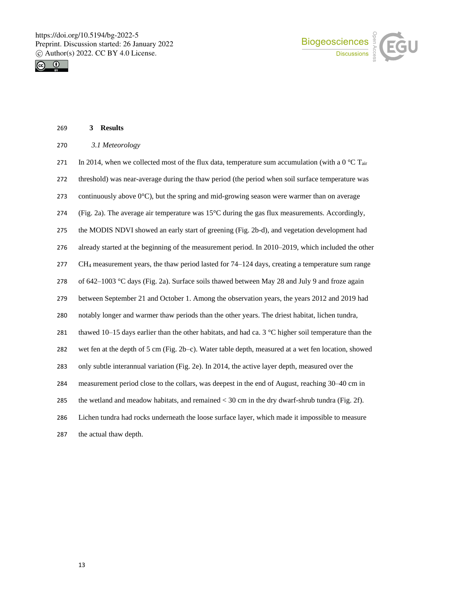**3 Results**





| 270 | 3.1 Meteorology                                                                                               |
|-----|---------------------------------------------------------------------------------------------------------------|
| 271 | In 2014, when we collected most of the flux data, temperature sum accumulation (with a 0 °C T <sub>air</sub>  |
| 272 | threshold) was near-average during the thaw period (the period when soil surface temperature was              |
| 273 | continuously above $0^{\circ}$ C), but the spring and mid-growing season were warmer than on average          |
| 274 | (Fig. 2a). The average air temperature was $15^{\circ}$ C during the gas flux measurements. Accordingly,      |
| 275 | the MODIS NDVI showed an early start of greening (Fig. 2b-d), and vegetation development had                  |
| 276 | already started at the beginning of the measurement period. In 2010–2019, which included the other            |
| 277 | CH <sub>4</sub> measurement years, the thaw period lasted for 74–124 days, creating a temperature sum range   |
| 278 | of 642–1003 °C days (Fig. 2a). Surface soils thawed between May 28 and July 9 and froze again                 |
| 279 | between September 21 and October 1. Among the observation years, the years 2012 and 2019 had                  |
| 280 | notably longer and warmer thaw periods than the other years. The driest habitat, lichen tundra,               |
| 281 | thawed 10–15 days earlier than the other habitats, and had ca. 3 $\degree$ C higher soil temperature than the |
| 282 | wet fen at the depth of 5 cm (Fig. 2b–c). Water table depth, measured at a wet fen location, showed           |
| 283 | only subtle interannual variation (Fig. 2e). In 2014, the active layer depth, measured over the               |
| 284 | measurement period close to the collars, was deepest in the end of August, reaching 30–40 cm in               |
| 285 | the wetland and meadow habitats, and remained $<$ 30 cm in the dry dwarf-shrub tundra (Fig. 2f).              |
| 286 | Lichen tundra had rocks underneath the loose surface layer, which made it impossible to measure               |
| 287 | the actual thaw depth.                                                                                        |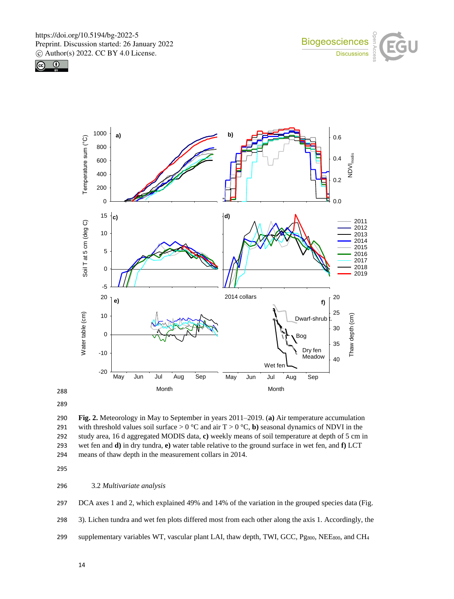





289

290 **Fig. 2.** Meteorology in May to September in years 2011–2019. (**a)** Air temperature accumulation 291 with threshold values soil surface  $> 0^\circ \text{C}$  and air T  $> 0^\circ \text{C}$ , **b**) seasonal dynamics of NDVI in the 292 study area, 16 d aggregated MODIS data, **c)** weekly means of soil temperature at depth of 5 cm in 293 wet fen and **d)** in dry tundra, **e)** water table relative to the ground surface in wet fen, and **f)** LCT 294 means of thaw depth in the measurement collars in 2014.

295

### 296 3.2 *Multivariate analysis*

297 DCA axes 1 and 2, which explained 49% and 14% of the variation in the grouped species data (Fig.

298 3). Lichen tundra and wet fen plots differed most from each other along the axis 1. Accordingly, the

299 supplementary variables WT, vascular plant LAI, thaw depth, TWI, GCC, Pg<sub>800</sub>, NEE<sub>800</sub>, and CH<sub>4</sub>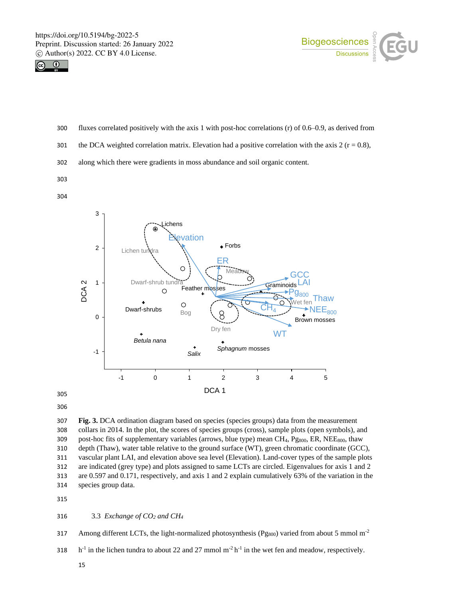



- 300 fluxes correlated positively with the axis 1 with post-hoc correlations (r) of 0.6–0.9, as derived from
- 301 the DCA weighted correlation matrix. Elevation had a positive correlation with the axis  $2 (r = 0.8)$ ,
- 302 along which there were gradients in moss abundance and soil organic content.
- 303

304



306

 **Fig. 3.** DCA ordination diagram based on species (species groups) data from the measurement collars in 2014. In the plot, the scores of species groups (cross), sample plots (open symbols), and 309 post-hoc fits of supplementary variables (arrows, blue type) mean CH<sub>4</sub>, Pg $_{800}$ , ER, NEE $_{800}$ , thaw depth (Thaw), water table relative to the ground surface (WT), green chromatic coordinate (GCC), vascular plant LAI, and elevation above sea level (Elevation). Land-cover types of the sample plots are indicated (grey type) and plots assigned to same LCTs are circled. Eigenvalues for axis 1 and 2 are 0.597 and 0.171, respectively, and axis 1 and 2 explain cumulatively 63% of the variation in the species group data.

315

#### 316 3.3 *Exchange of CO<sup>2</sup> and CH<sup>4</sup>*

317 Among different LCTs, the light-normalized photosynthesis ( $P_{8000}$ ) varied from about 5 mmol m<sup>-2</sup>

318  $h^{-1}$  in the lichen tundra to about 22 and 27 mmol m<sup>-2</sup> h<sup>-1</sup> in the wet fen and meadow, respectively.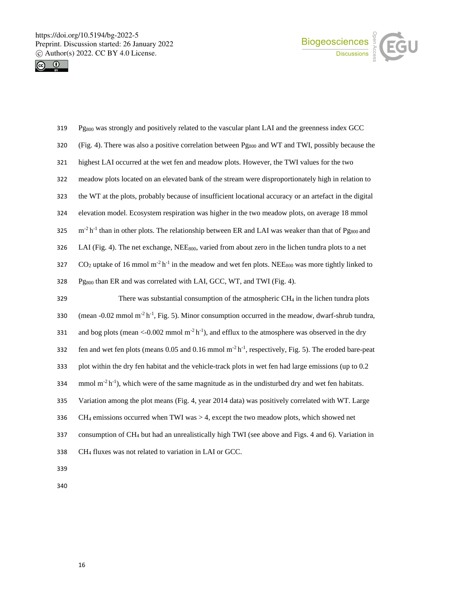



| Pg <sub>800</sub> was strongly and positively related to the vascular plant LAI and the greenness index GCC                            |
|----------------------------------------------------------------------------------------------------------------------------------------|
| (Fig. 4). There was also a positive correlation between Pg <sub>800</sub> and WT and TWI, possibly because the                         |
| highest LAI occurred at the wet fen and meadow plots. However, the TWI values for the two                                              |
| meadow plots located on an elevated bank of the stream were disproportionately high in relation to                                     |
| the WT at the plots, probably because of insufficient locational accuracy or an artefact in the digital                                |
| elevation model. Ecosystem respiration was higher in the two meadow plots, on average 18 mmol                                          |
| $m-2 h-1$ than in other plots. The relationship between ER and LAI was weaker than that of Pg <sub>800</sub> and                       |
| LAI (Fig. 4). The net exchange, NEE <sub>800</sub> , varied from about zero in the lichen tundra plots to a net                        |
| $CO2$ uptake of 16 mmol m <sup>-2</sup> h <sup>-1</sup> in the meadow and wet fen plots. NEE <sub>800</sub> was more tightly linked to |
| Pg <sub>800</sub> than ER and was correlated with LAI, GCC, WT, and TWI (Fig. 4).                                                      |
| There was substantial consumption of the atmospheric $CH_4$ in the lichen tundra plots                                                 |
| (mean -0.02 mmol m <sup>-2</sup> h <sup>-1</sup> , Fig. 5). Minor consumption occurred in the meadow, dwarf-shrub tundra,              |
| and bog plots (mean <-0.002 mmol $m^2 h^{-1}$ ), and efflux to the atmosphere was observed in the dry                                  |
| fen and wet fen plots (means 0.05 and 0.16 mmol $m^{-2}h^{-1}$ , respectively, Fig. 5). The eroded bare-peat                           |
| plot within the dry fen habitat and the vehicle-track plots in wet fen had large emissions (up to 0.2                                  |
| mmol $m^2 h^{-1}$ ), which were of the same magnitude as in the undisturbed dry and wet fen habitats.                                  |
| Variation among the plot means (Fig. 4, year 2014 data) was positively correlated with WT. Large                                       |
| $CH_4$ emissions occurred when TWI was $>$ 4, except the two meadow plots, which showed net                                            |
| consumption of CH <sub>4</sub> but had an unrealistically high TWI (see above and Figs. 4 and 6). Variation in                         |
| CH <sub>4</sub> fluxes was not related to variation in LAI or GCC.                                                                     |
|                                                                                                                                        |
|                                                                                                                                        |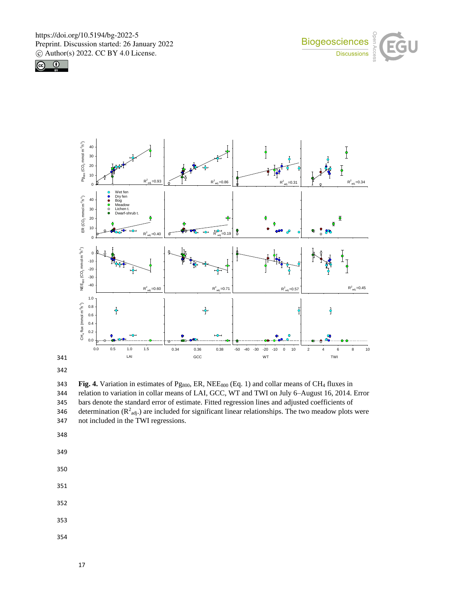







343 **Fig. 4.** Variation in estimates of Pg<sub>800</sub>, ER, NEE<sub>800</sub> (Eq. 1) and collar means of CH<sub>4</sub> fluxes in 344 relation to variation in collar means of LAI, GCC, WT and TWI on July 6–August 16, 2014. Error 345 bars denote the standard error of estimate. Fitted regression lines and adjusted coefficients of 346 determination  $(R^2_{adj.})$  are included for significant linear relationships. The two meadow plots were 347 not included in the TWI regressions.

348

- 350
- 351
- 352
- 353
- 354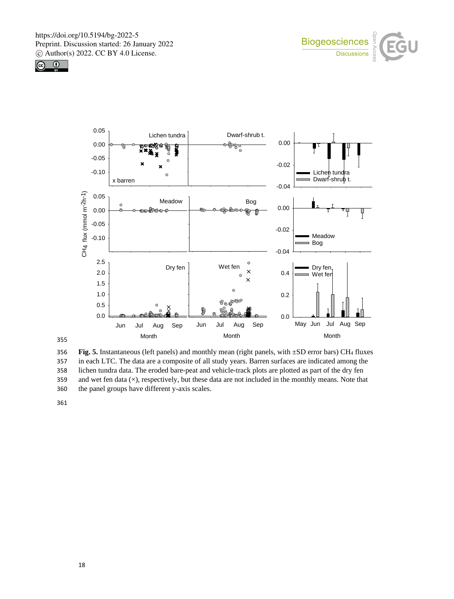





356 **Fig. 5.** Instantaneous (left panels) and monthly mean (right panels, with ±SD error bars) CH<sup>4</sup> fluxes 357 in each LTC. The data are a composite of all study years. Barren surfaces are indicated among the 358 lichen tundra data. The eroded bare-peat and vehicle-track plots are plotted as part of the dry fen 359 and wet fen data (×), respectively, but these data are not included in the monthly means. Note that 360 the panel groups have different y-axis scales.

361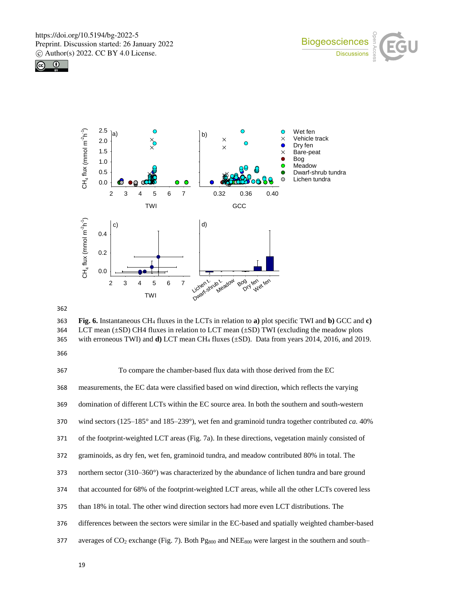





362

363 **Fig. 6.** Instantaneous CH<sup>4</sup> fluxes in the LCTs in relation to **a)** plot specific TWI and **b)** GCC and **c)** 364 LCT mean (±SD) CH4 fluxes in relation to LCT mean (±SD) TWI (excluding the meadow plots 365 with erroneous TWI) and **d)** LCT mean CH<sup>4</sup> fluxes (±SD). Data from years 2014, 2016, and 2019.

366

 To compare the chamber-based flux data with those derived from the EC measurements, the EC data were classified based on wind direction, which reflects the varying domination of different LCTs within the EC source area. In both the southern and south-western wind sectors (125–185° and 185–239°), wet fen and graminoid tundra together contributed *ca.* 40% of the footprint-weighted LCT areas (Fig. 7a). In these directions, vegetation mainly consisted of graminoids, as dry fen, wet fen, graminoid tundra, and meadow contributed 80% in total. The northern sector (310–360°) was characterized by the abundance of lichen tundra and bare ground that accounted for 68% of the footprint-weighted LCT areas, while all the other LCTs covered less than 18% in total. The other wind direction sectors had more even LCT distributions. The differences between the sectors were similar in the EC-based and spatially weighted chamber-based 377 averages of CO<sub>2</sub> exchange (Fig. 7). Both Pg<sub>800</sub> and NEE<sub>800</sub> were largest in the southern and south–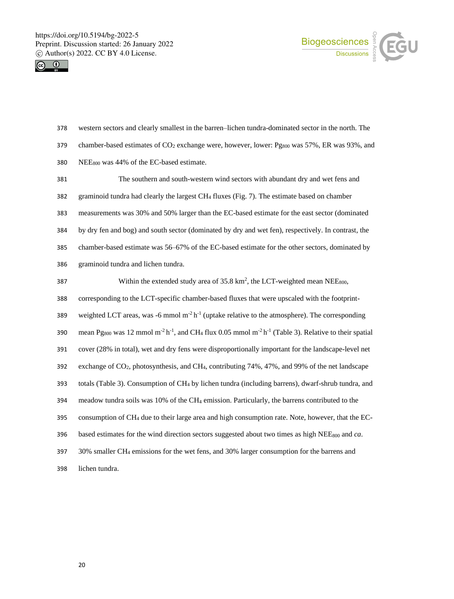



 western sectors and clearly smallest in the barren–lichen tundra-dominated sector in the north. The 379 chamber-based estimates of CO<sub>2</sub> exchange were, however, lower: Pg<sub>800</sub> was 57%, ER was 93%, and NEE<sup>800</sup> was 44% of the EC-based estimate.

 The southern and south-western wind sectors with abundant dry and wet fens and graminoid tundra had clearly the largest CH<sup>4</sup> fluxes (Fig. 7). The estimate based on chamber measurements was 30% and 50% larger than the EC-based estimate for the east sector (dominated by dry fen and bog) and south sector (dominated by dry and wet fen), respectively. In contrast, the chamber-based estimate was 56–67% of the EC-based estimate for the other sectors, dominated by graminoid tundra and lichen tundra. 387 Within the extended study area of  $35.8 \text{ km}^2$ , the LCT-weighted mean NEE<sub>800</sub>, corresponding to the LCT-specific chamber-based fluxes that were upscaled with the footprint-

389 weighted LCT areas, was -6 mmol  $m^{-2} h^{-1}$  (uptake relative to the atmosphere). The corresponding

390 mean Pg<sub>800</sub> was 12 mmol m<sup>-2</sup> h<sup>-1</sup>, and CH<sub>4</sub> flux 0.05 mmol m<sup>-2</sup> h<sup>-1</sup> (Table 3). Relative to their spatial

cover (28% in total), wet and dry fens were disproportionally important for the landscape-level net

exchange of CO2, photosynthesis, and CH4, contributing 74%, 47%, and 99% of the net landscape

totals (Table 3). Consumption of CH<sup>4</sup> by lichen tundra (including barrens), dwarf-shrub tundra, and

meadow tundra soils was 10% of the CH<sup>4</sup> emission. Particularly, the barrens contributed to the

consumption of CH<sup>4</sup> due to their large area and high consumption rate. Note, however, that the EC-

based estimates for the wind direction sectors suggested about two times as high NEE<sup>800</sup> and *ca*.

30% smaller CH<sub>4</sub> emissions for the wet fens, and 30% larger consumption for the barrens and

lichen tundra.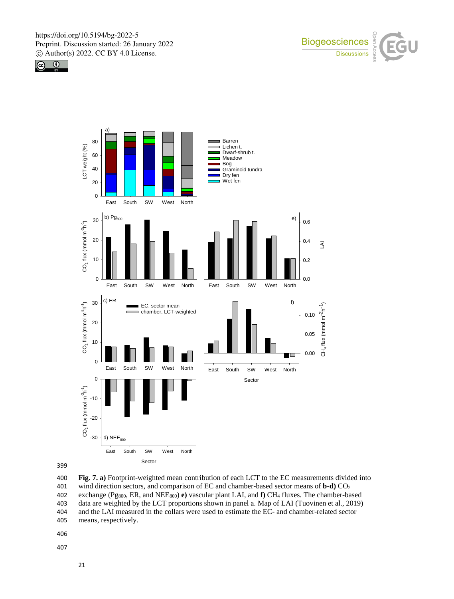







400 **Fig. 7. a)** Footprint-weighted mean contribution of each LCT to the EC measurements divided into 401 wind direction sectors, and comparison of EC and chamber-based sector means of **b-d)** CO<sup>2</sup> 402 exchange (Pg800, ER, and NEE800) **e)** vascular plant LAI, and **f)** CH<sup>4</sup> fluxes. The chamber-based 403 data are weighted by the LCT proportions shown in panel a. Map of LAI (Tuovinen et al., 2019) 404 and the LAI measured in the collars were used to estimate the EC- and chamber-related sector 405 means, respectively.

406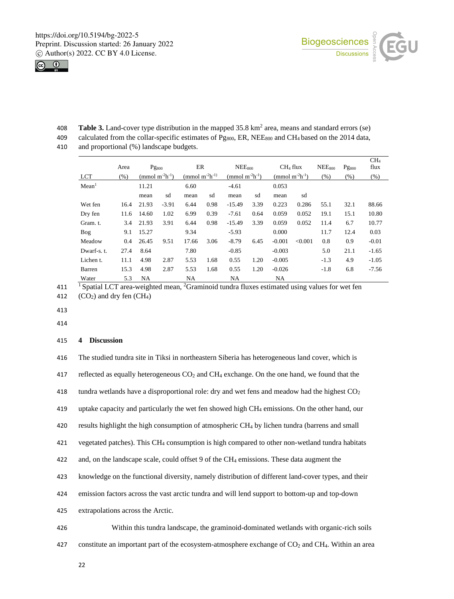



408 Table 3. Land-cover type distribution in the mapped 35.8 km<sup>2</sup> area, means and standard errors (se) 409 calculated from the collar-specific estimates of Pg<sub>800</sub>, ER, NEE<sub>800</sub> and CH<sub>4</sub> based on the 2014 data,

410 and proportional (%) landscape budgets.

|                   | Area    | $Pg_{800}$ |                                         | ER                                     |      | NEE <sub>800</sub>                      |      | CH <sub>4</sub> flux |                                         | NEE <sub>800</sub> | $Pg_{800}$ | CH <sub>4</sub><br>flux |
|-------------------|---------|------------|-----------------------------------------|----------------------------------------|------|-----------------------------------------|------|----------------------|-----------------------------------------|--------------------|------------|-------------------------|
| <b>LCT</b>        | $(\% )$ |            | (mmol m <sup>-2</sup> h <sup>-1</sup> ) | (mmol m <sup>-2</sup> h <sup>-1)</sup> |      | (mmol m <sup>-2</sup> h <sup>-1</sup> ) |      |                      | (mmol m <sup>-2</sup> h <sup>-1</sup> ) | (% )               | $(\%)$     | (%)                     |
| Mean <sup>1</sup> |         | 11.21      |                                         | 6.60                                   |      | $-4.61$                                 |      | 0.053                |                                         |                    |            |                         |
|                   |         | mean       | sd                                      | mean                                   | sd   | mean                                    | sd   | mean                 | sd                                      |                    |            |                         |
| Wet fen           | 16.4    | 21.93      | $-3.91$                                 | 6.44                                   | 0.98 | $-15.49$                                | 3.39 | 0.223                | 0.286                                   | 55.1               | 32.1       | 88.66                   |
| Dry fen           | 11.6    | 14.60      | 1.02                                    | 6.99                                   | 0.39 | $-7.61$                                 | 0.64 | 0.059                | 0.052                                   | 19.1               | 15.1       | 10.80                   |
| Gram. t.          | 3.4     | 21.93      | 3.91                                    | 6.44                                   | 0.98 | $-15.49$                                | 3.39 | 0.059                | 0.052                                   | 11.4               | 6.7        | 10.77                   |
| Bog               | 9.1     | 15.27      |                                         | 9.34                                   |      | $-5.93$                                 |      | 0.000                |                                         | 11.7               | 12.4       | 0.03                    |
| Meadow            | 0.4     | 26.45      | 9.51                                    | 17.66                                  | 3.06 | $-8.79$                                 | 6.45 | $-0.001$             | < 0.001                                 | 0.8                | 0.9        | $-0.01$                 |
| Dwarf-s. t.       | 27.4    | 8.64       |                                         | 7.80                                   |      | $-0.85$                                 |      | $-0.003$             |                                         | 5.0                | 21.1       | $-1.65$                 |
| Lichen t.         | 11.1    | 4.98       | 2.87                                    | 5.53                                   | 1.68 | 0.55                                    | 1.20 | $-0.005$             |                                         | $-1.3$             | 4.9        | $-1.05$                 |
| Barren            | 15.3    | 4.98       | 2.87                                    | 5.53                                   | 1.68 | 0.55                                    | 1.20 | $-0.026$             |                                         | $-1.8$             | 6.8        | $-7.56$                 |
| Water             | 5.3     | NA         |                                         | NA                                     |      | <b>NA</b>                               |      | <b>NA</b>            |                                         |                    |            |                         |

411 <sup>1</sup> Spatial LCT area-weighted mean, <sup>2</sup> Graminoid tundra fluxes estimated using values for wet fen

412  $(CO_2)$  and dry fen  $(CH_4)$ 

413

414

# 415 **4 Discussion**

| 416 | The studied tundra site in Tiksi in northeastern Siberia has heterogeneous land cover, which is                 |
|-----|-----------------------------------------------------------------------------------------------------------------|
| 417 | reflected as equally heterogeneous $CO2$ and $CH4$ exchange. On the one hand, we found that the                 |
| 418 | tundra wetlands have a disproportional role: dry and wet fens and meadow had the highest $CO2$                  |
| 419 | uptake capacity and particularly the wet fen showed high CH <sub>4</sub> emissions. On the other hand, our      |
| 420 | results highlight the high consumption of atmospheric CH <sub>4</sub> by lichen tundra (barrens and small       |
| 421 | vegetated patches). This CH <sub>4</sub> consumption is high compared to other non-wetland tundra habitats      |
| 422 | and, on the landscape scale, could offset 9 of the CH <sub>4</sub> emissions. These data augment the            |
| 423 | knowledge on the functional diversity, namely distribution of different land-cover types, and their             |
| 424 | emission factors across the vast arctic tundra and will lend support to bottom-up and top-down                  |
| 425 | extrapolations across the Arctic.                                                                               |
| 426 | Within this tundra landscape, the graminoid-dominated wetlands with organic-rich soils                          |
| 427 | constitute an important part of the ecosystem-atmosphere exchange of $CO2$ and CH <sub>4</sub> . Within an area |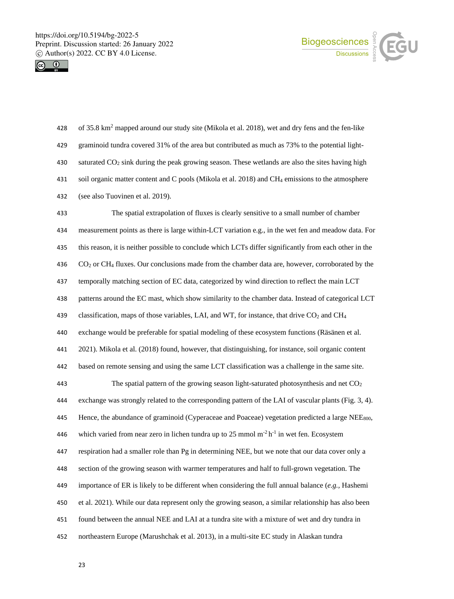



| 428 | of 35.8 km <sup>2</sup> mapped around our study site (Mikola et al. 2018), wet and dry fens and the fen-like |
|-----|--------------------------------------------------------------------------------------------------------------|
| 429 | graminoid tundra covered 31% of the area but contributed as much as 73% to the potential light-              |
| 430 | saturated CO <sub>2</sub> sink during the peak growing season. These wetlands are also the sites having high |
| 431 | soil organic matter content and C pools (Mikola et al. 2018) and CH <sub>4</sub> emissions to the atmosphere |
| 432 | (see also Tuovinen et al. 2019).                                                                             |

 The spatial extrapolation of fluxes is clearly sensitive to a small number of chamber measurement points as there is large within-LCT variation e.g., in the wet fen and meadow data. For this reason, it is neither possible to conclude which LCTs differ significantly from each other in the CO<sup>2</sup> or CH<sup>4</sup> fluxes. Our conclusions made from the chamber data are, however, corroborated by the temporally matching section of EC data, categorized by wind direction to reflect the main LCT patterns around the EC mast, which show similarity to the chamber data. Instead of categorical LCT 439 classification, maps of those variables, LAI, and WT, for instance, that drive CO<sub>2</sub> and CH<sub>4</sub> exchange would be preferable for spatial modeling of these ecosystem functions (Räsänen et al. 2021). Mikola et al. (2018) found, however, that distinguishing, for instance, soil organic content based on remote sensing and using the same LCT classification was a challenge in the same site. The spatial pattern of the growing season light-saturated photosynthesis and net CO<sup>2</sup> exchange was strongly related to the corresponding pattern of the LAI of vascular plants (Fig. 3, 4). 445 Hence, the abundance of graminoid (Cyperaceae and Poaceae) vegetation predicted a large NEE<sub>800</sub>, 446 which varied from near zero in lichen tundra up to 25 mmol  $m<sup>2</sup> h<sup>-1</sup>$  in wet fen. Ecosystem respiration had a smaller role than Pg in determining NEE, but we note that our data cover only a section of the growing season with warmer temperatures and half to full-grown vegetation. The importance of ER is likely to be different when considering the full annual balance (*e.g.,* Hashemi et al. 2021). While our data represent only the growing season, a similar relationship has also been found between the annual NEE and LAI at a tundra site with a mixture of wet and dry tundra in northeastern Europe (Marushchak et al. 2013), in a multi-site EC study in Alaskan tundra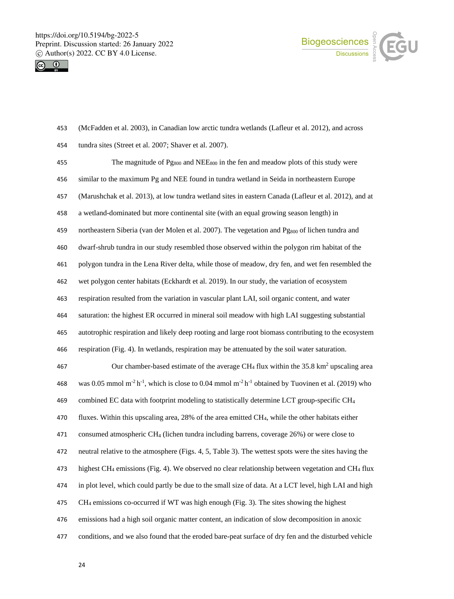



 (McFadden et al. 2003), in Canadian low arctic tundra wetlands (Lafleur et al. 2012), and across tundra sites (Street et al. 2007; Shaver et al. 2007). 455 The magnitude of  $P_{9800}$  and NEE<sub>800</sub> in the fen and meadow plots of this study were similar to the maximum Pg and NEE found in tundra wetland in Seida in northeastern Europe (Marushchak et al. 2013), at low tundra wetland sites in eastern Canada (Lafleur et al. 2012), and at a wetland-dominated but more continental site (with an equal growing season length) in 459 northeastern Siberia (van der Molen et al. 2007). The vegetation and Pg<sub>800</sub> of lichen tundra and dwarf-shrub tundra in our study resembled those observed within the polygon rim habitat of the polygon tundra in the Lena River delta, while those of meadow, dry fen, and wet fen resembled the wet polygon center habitats (Eckhardt et al. 2019). In our study, the variation of ecosystem respiration resulted from the variation in vascular plant LAI, soil organic content, and water saturation: the highest ER occurred in mineral soil meadow with high LAI suggesting substantial autotrophic respiration and likely deep rooting and large root biomass contributing to the ecosystem respiration (Fig. 4). In wetlands, respiration may be attenuated by the soil water saturation. 467 Our chamber-based estimate of the average  $CH_4$  flux within the 35.8 km<sup>2</sup> upscaling area 468 was 0.05 mmol m<sup>-2</sup> h<sup>-1</sup>, which is close to 0.04 mmol m<sup>-2</sup> h<sup>-1</sup> obtained by Tuovinen et al. (2019) who combined EC data with footprint modeling to statistically determine LCT group-specific CH<sup>4</sup> fluxes. Within this upscaling area, 28% of the area emitted CH4, while the other habitats either consumed atmospheric CH<sup>4</sup> (lichen tundra including barrens, coverage 26%) or were close to neutral relative to the atmosphere (Figs. 4, 5, Table 3). The wettest spots were the sites having the highest CH<sup>4</sup> emissions (Fig. 4). We observed no clear relationship between vegetation and CH<sup>4</sup> flux in plot level, which could partly be due to the small size of data. At a LCT level, high LAI and high CH<sup>4</sup> emissions co-occurred if WT was high enough (Fig. 3). The sites showing the highest emissions had a high soil organic matter content, an indication of slow decomposition in anoxic conditions, and we also found that the eroded bare-peat surface of dry fen and the disturbed vehicle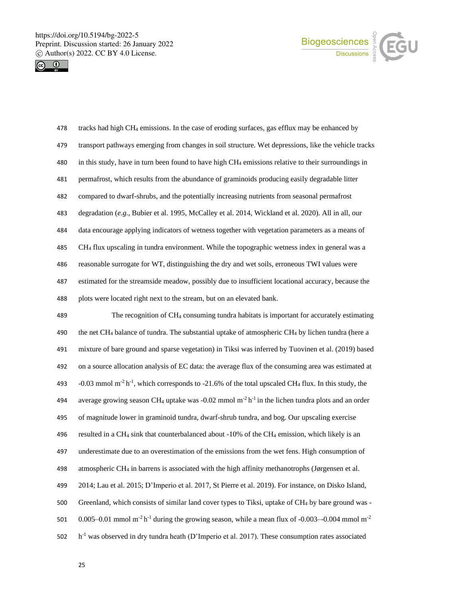



| 478 | tracks had high CH <sub>4</sub> emissions. In the case of eroding surfaces, gas efflux may be enhanced by       |
|-----|-----------------------------------------------------------------------------------------------------------------|
| 479 | transport pathways emerging from changes in soil structure. Wet depressions, like the vehicle tracks            |
| 480 | in this study, have in turn been found to have high CH <sub>4</sub> emissions relative to their surroundings in |
| 481 | permafrost, which results from the abundance of graminoids producing easily degradable litter                   |
| 482 | compared to dwarf-shrubs, and the potentially increasing nutrients from seasonal permafrost                     |
| 483 | degradation (e.g., Bubier et al. 1995, McCalley et al. 2014, Wickland et al. 2020). All in all, our             |
| 484 | data encourage applying indicators of wetness together with vegetation parameters as a means of                 |
| 485 | CH <sub>4</sub> flux upscaling in tundra environment. While the topographic wetness index in general was a      |
| 486 | reasonable surrogate for WT, distinguishing the dry and wet soils, erroneous TWI values were                    |
| 487 | estimated for the streamside meadow, possibly due to insufficient locational accuracy, because the              |
| 488 | plots were located right next to the stream, but on an elevated bank.                                           |
| 489 | The recognition of $CH_4$ consuming tundra habitats is important for accurately estimating                      |
|     |                                                                                                                 |

 the net CH<sup>4</sup> balance of tundra. The substantial uptake of atmospheric CH<sup>4</sup> by lichen tundra (here a mixture of bare ground and sparse vegetation) in Tiksi was inferred by Tuovinen et al. (2019) based on a source allocation analysis of EC data: the average flux of the consuming area was estimated at  $-0.03$  mmol m<sup>-2</sup> h<sup>-1</sup>, which corresponds to -21.6% of the total upscaled CH<sub>4</sub> flux. In this study, the 494 average growing season CH<sub>4</sub> uptake was -0.02 mmol m<sup>-2</sup> h<sup>-1</sup> in the lichen tundra plots and an order of magnitude lower in graminoid tundra, dwarf-shrub tundra, and bog. Our upscaling exercise resulted in a CH<sup>4</sup> sink that counterbalanced about -10% of the CH<sup>4</sup> emission, which likely is an underestimate due to an overestimation of the emissions from the wet fens. High consumption of atmospheric CH<sup>4</sup> in barrens is associated with the high affinity methanotrophs (Jørgensen et al. 2014; Lau et al. 2015; D'Imperio et al. 2017, St Pierre et al. 2019). For instance, on Disko Island, Greenland, which consists of similar land cover types to Tiksi, uptake of CH<sup>4</sup> by bare ground was - 501 0.005–0.01 mmol m<sup>-2</sup> h<sup>-1</sup> during the growing season, while a mean flux of -0.003–-0.004 mmol m<sup>-2</sup>  $h^{-1}$  was observed in dry tundra heath (D'Imperio et al. 2017). These consumption rates associated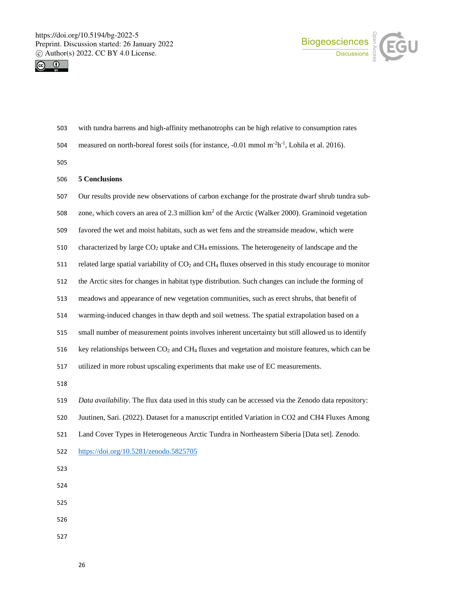



- with tundra barrens and high-affinity methanotrophs can be high relative to consumption rates
- 504 measured on north-boreal forest soils (for instance,  $-0.01$  mmol m<sup>-2</sup>h<sup>-1</sup>, Lohila et al. 2016).

# **5 Conclusions**

| 507 | Our results provide new observations of carbon exchange for the prostrate dwarf shrub tundra sub-                           |
|-----|-----------------------------------------------------------------------------------------------------------------------------|
| 508 | zone, which covers an area of 2.3 million km <sup>2</sup> of the Arctic (Walker 2000). Graminoid vegetation                 |
| 509 | favored the wet and moist habitats, such as wet fens and the streamside meadow, which were                                  |
| 510 | characterized by large $CO2$ uptake and $CH4$ emissions. The heterogeneity of landscape and the                             |
| 511 | related large spatial variability of CO <sub>2</sub> and CH <sub>4</sub> fluxes observed in this study encourage to monitor |
| 512 | the Arctic sites for changes in habitat type distribution. Such changes can include the forming of                          |
| 513 | meadows and appearance of new vegetation communities, such as erect shrubs, that benefit of                                 |
| 514 | warming-induced changes in thaw depth and soil wetness. The spatial extrapolation based on a                                |
| 515 | small number of measurement points involves inherent uncertainty but still allowed us to identify                           |
| 516 | key relationships between CO <sub>2</sub> and CH <sub>4</sub> fluxes and vegetation and moisture features, which can be     |
| 517 | utilized in more robust upscaling experiments that make use of EC measurements.                                             |
| 518 |                                                                                                                             |
| 519 | Data availability. The flux data used in this study can be accessed via the Zenodo data repository:                         |
| 520 | Juutinen, Sari. (2022). Dataset for a manuscript entitled Variation in CO2 and CH4 Fluxes Among                             |
| 521 | Land Cover Types in Heterogeneous Arctic Tundra in Northeastern Siberia [Data set]. Zenodo.                                 |
| 522 | https://doi.org/10.5281/zenodo.5825705                                                                                      |
| 523 |                                                                                                                             |
| 524 |                                                                                                                             |
| 525 |                                                                                                                             |
| 526 |                                                                                                                             |
| 527 |                                                                                                                             |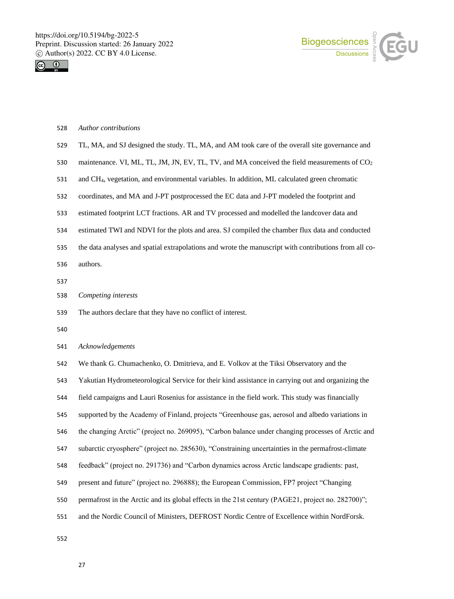



#### *Author contributions*

- TL, MA, and SJ designed the study. TL, MA, and AM took care of the overall site governance and
- 530 maintenance. VI, ML, TL, JM, JN, EV, TL, TV, and MA conceived the field measurements of CO<sub>2</sub>
- and CH4, vegetation, and environmental variables. In addition, ML calculated green chromatic
- coordinates, and MA and J-PT postprocessed the EC data and J-PT modeled the footprint and
- estimated footprint LCT fractions. AR and TV processed and modelled the landcover data and
- estimated TWI and NDVI for the plots and area. SJ compiled the chamber flux data and conducted
- the data analyses and spatial extrapolations and wrote the manuscript with contributions from all co-
- authors.
- 
- *Competing interests*
- The authors declare that they have no conflict of interest.
- 

*Acknowledgements* 

We thank G. Chumachenko, O. Dmitrieva, and E. Volkov at the Tiksi Observatory and the

Yakutian Hydrometeorological Service for their kind assistance in carrying out and organizing the

- field campaigns and Lauri Rosenius for assistance in the field work. This study was financially
- supported by the Academy of Finland, projects "Greenhouse gas, aerosol and albedo variations in
- the changing Arctic" (project no. 269095), "Carbon balance under changing processes of Arctic and
- subarctic cryosphere" (project no. 285630), "Constraining uncertainties in the permafrost-climate
- feedback" (project no. 291736) and "Carbon dynamics across Arctic landscape gradients: past,
- present and future" (project no. 296888); the European Commission, FP7 project "Changing
- permafrost in the Arctic and its global effects in the 21st century (PAGE21, project no. 282700)";
- and the Nordic Council of Ministers, DEFROST Nordic Centre of Excellence within NordForsk.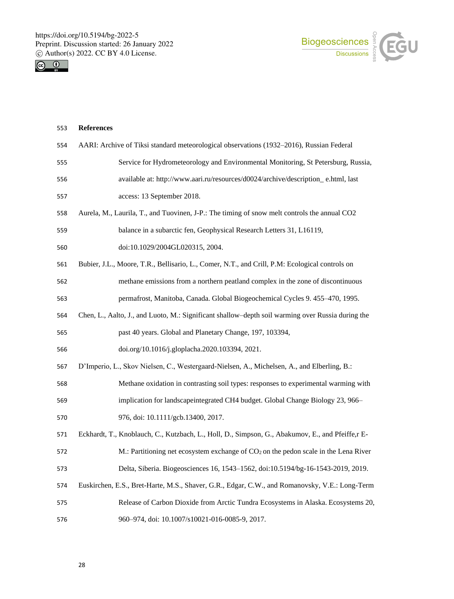



| 553 | <b>References</b>                                                                                 |
|-----|---------------------------------------------------------------------------------------------------|
| 554 | AARI: Archive of Tiksi standard meteorological observations (1932–2016), Russian Federal          |
| 555 | Service for Hydrometeorology and Environmental Monitoring, St Petersburg, Russia,                 |
| 556 | available at: http://www.aari.ru/resources/d0024/archive/description_e.html, last                 |
| 557 | access: 13 September 2018.                                                                        |
| 558 | Aurela, M., Laurila, T., and Tuovinen, J-P.: The timing of snow melt controls the annual CO2      |
| 559 | balance in a subarctic fen, Geophysical Research Letters 31, L16119,                              |
| 560 | doi:10.1029/2004GL020315, 2004.                                                                   |
| 561 | Bubier, J.L., Moore, T.R., Bellisario, L., Comer, N.T., and Crill, P.M: Ecological controls on    |
| 562 | methane emissions from a northern peatland complex in the zone of discontinuous                   |
| 563 | permafrost, Manitoba, Canada. Global Biogeochemical Cycles 9. 455–470, 1995.                      |
| 564 | Chen, L., Aalto, J., and Luoto, M.: Significant shallow-depth soil warming over Russia during the |
| 565 | past 40 years. Global and Planetary Change, 197, 103394,                                          |
| 566 | doi.org/10.1016/j.gloplacha.2020.103394, 2021.                                                    |
| 567 | D'Imperio, L., Skov Nielsen, C., Westergaard-Nielsen, A., Michelsen, A., and Elberling, B.:       |
| 568 | Methane oxidation in contrasting soil types: responses to experimental warming with               |
| 569 | implication for landscapeintegrated CH4 budget. Global Change Biology 23, 966-                    |
| 570 | 976, doi: 10.1111/gcb.13400, 2017.                                                                |
| 571 | Eckhardt, T., Knoblauch, C., Kutzbach, L., Holl, D., Simpson, G., Abakumov, E., and Pfeiffe,r E-  |
| 572 | M.: Partitioning net ecosystem exchange of $CO2$ on the pedon scale in the Lena River             |
| 573 | Delta, Siberia. Biogeosciences 16, 1543-1562, doi:10.5194/bg-16-1543-2019, 2019.                  |
| 574 | Euskirchen, E.S., Bret-Harte, M.S., Shaver, G.R., Edgar, C.W., and Romanovsky, V.E.: Long-Term    |
| 575 | Release of Carbon Dioxide from Arctic Tundra Ecosystems in Alaska. Ecosystems 20,                 |
| 576 | 960-974, doi: 10.1007/s10021-016-0085-9, 2017.                                                    |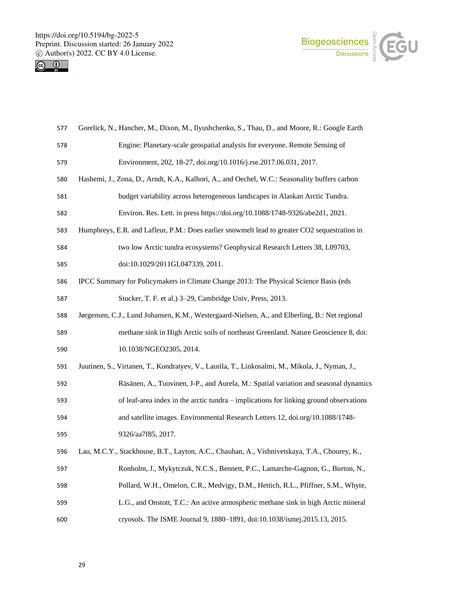



| 577 | Gorelick, N., Hancher, M., Dixon, M., Ilyushchenko, S., Thau, D., and Moore, R.: Google Earth   |
|-----|-------------------------------------------------------------------------------------------------|
| 578 | Engine: Planetary-scale geospatial analysis for everyone. Remote Sensing of                     |
| 579 | Environment, 202, 18-27, doi.org/10.1016/j.rse.2017.06.031, 2017.                               |
| 580 | Hashemi, J., Zona, D., Arndt, K.A., Kalhori, A., and Oechel, W.C.: Seasonality buffers carbon   |
| 581 | budget variability across heterogeneous landscapes in Alaskan Arctic Tundra.                    |
| 582 | Environ. Res. Lett. in press https://doi.org/10.1088/1748-9326/abe2d1, 2021.                    |
| 583 | Humphreys, E.R. and Lafleur, P.M.: Does earlier snowmelt lead to greater CO2 sequestration in   |
| 584 | two low Arctic tundra ecosystems? Geophysical Research Letters 38, L09703,                      |
| 585 | doi:10.1029/2011GL047339, 2011.                                                                 |
| 586 | IPCC Summary for Policymakers in Climate Change 2013: The Physical Science Basis (eds           |
| 587 | Stocker, T. F. et al.) 3–29, Cambridge Univ, Press, 2013.                                       |
| 588 | Jørgensen, C.J., Lund Johansen, K.M., Westergaard-Nielsen, A., and Elberling, B.: Net regional  |
| 589 | methane sink in High Arctic soils of northeast Greenland. Nature Geoscience 8, doi:             |
| 590 | 10.1038/NGEO2305, 2014.                                                                         |
| 591 | Juutinen, S., Virtanen, T., Kondratyev, V., Laurila, T., Linkosalmi, M., Mikola, J., Nyman, J., |
| 592 | Räsänen, A., Tuovinen, J-P., and Aurela, M.: Spatial variation and seasonal dynamics            |
| 593 | of leaf-area index in the arctic tundra – implications for linking ground observations          |
| 594 | and satellite images. Environmental Research Letters 12, doi.org/10.1088/1748-                  |
| 595 | 9326/aa7f85, 2017.                                                                              |
| 596 | Lau, M.C.Y., Stackhouse, B.T., Layton, A.C., Chauhan, A., Vishnivetskaya, T.A., Chourey, K.,    |
| 597 | Ronholm, J., Mykytczuk, N.C.S., Bennett, P.C., Lamarche-Gagnon, G., Burton, N.,                 |
| 598 | Pollard, W.H., Omelon, C.R., Medvigy, D.M., Hettich, R.L., Pfiffner, S.M., Whyte,               |
| 599 | L.G., and Onstott, T.C.: An active atmospheric methane sink in high Arctic mineral              |
| 600 | cryosols. The ISME Journal 9, 1880-1891, doi:10.1038/ismej.2015.13, 2015.                       |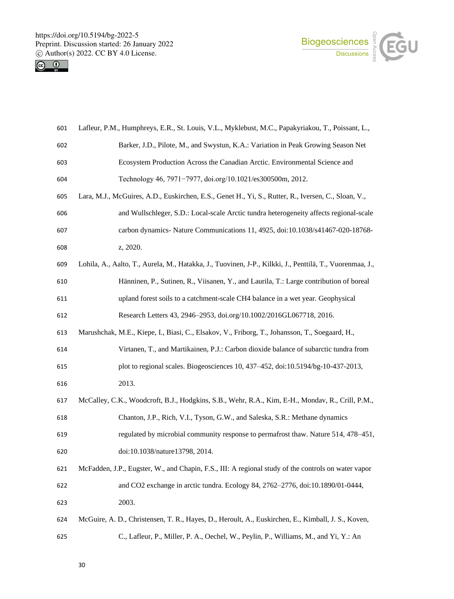https://doi.org/10.5194/bg-2022-5 Preprint. Discussion started: 26 January 2022  $\circledcirc$  Author(s) 2022. CC BY 4.0 License.<br>  $\circledcirc$   $\circledcirc$ 





| 601 | Lafleur, P.M., Humphreys, E.R., St. Louis, V.L., Myklebust, M.C., Papakyriakou, T., Poissant, L.,        |
|-----|----------------------------------------------------------------------------------------------------------|
| 602 | Barker, J.D., Pilote, M., and Swystun, K.A.: Variation in Peak Growing Season Net                        |
| 603 | Ecosystem Production Across the Canadian Arctic. Environmental Science and                               |
| 604 | Technology 46, 7971-7977, doi.org/10.1021/es300500m, 2012.                                               |
| 605 | Lara, M.J., McGuires, A.D., Euskirchen, E.S., Genet H., Yi, S., Rutter, R., Iversen, C., Sloan, V.,      |
| 606 | and Wullschleger, S.D.: Local-scale Arctic tundra heterogeneity affects regional-scale                   |
| 607 | carbon dynamics- Nature Communications 11, 4925, doi:10.1038/s41467-020-18768-                           |
| 608 | z, 2020.                                                                                                 |
| 609 | Lohila, A., Aalto, T., Aurela, M., Hatakka, J., Tuovinen, J-P., Kilkki, J., Penttilä, T., Vuorenmaa, J., |
| 610 | Hänninen, P., Sutinen, R., Viisanen, Y., and Laurila, T.: Large contribution of boreal                   |
| 611 | upland forest soils to a catchment-scale CH4 balance in a wet year. Geophysical                          |
| 612 | Research Letters 43, 2946-2953, doi.org/10.1002/2016GL067718, 2016.                                      |
| 613 | Marushchak, M.E., Kiepe, I., Biasi, C., Elsakov, V., Friborg, T., Johansson, T., Soegaard, H.,           |
| 614 | Virtanen, T., and Martikainen, P.J.: Carbon dioxide balance of subarctic tundra from                     |
| 615 | plot to regional scales. Biogeosciences 10, 437-452, doi:10.5194/bg-10-437-2013,                         |
| 616 | 2013.                                                                                                    |
| 617 | McCalley, C.K., Woodcroft, B.J., Hodgkins, S.B., Wehr, R.A., Kim, E-H., Mondav, R., Crill, P.M.,         |
| 618 | Chanton, J.P., Rich, V.I., Tyson, G.W., and Saleska, S.R.: Methane dynamics                              |
| 619 | regulated by microbial community response to permafrost thaw. Nature 514, 478–451,                       |
| 620 | doi:10.1038/nature13798, 2014.                                                                           |
| 621 | McFadden, J.P., Eugster, W., and Chapin, F.S., III: A regional study of the controls on water vapor      |
| 622 | and CO2 exchange in arctic tundra. Ecology 84, 2762-2776, doi:10.1890/01-0444,                           |
| 623 | 2003.                                                                                                    |
| 624 | McGuire, A. D., Christensen, T. R., Hayes, D., Heroult, A., Euskirchen, E., Kimball, J. S., Koven,       |
| 625 | C., Lafleur, P., Miller, P. A., Oechel, W., Peylin, P., Williams, M., and Yi, Y.: An                     |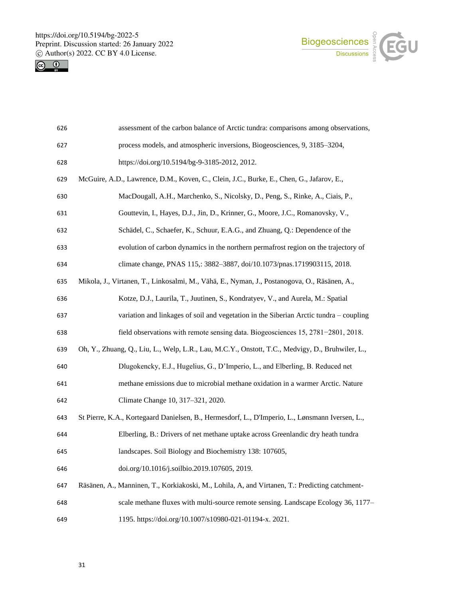



| 626 | assessment of the carbon balance of Arctic tundra: comparisons among observations,               |
|-----|--------------------------------------------------------------------------------------------------|
| 627 | process models, and atmospheric inversions, Biogeosciences, 9, 3185-3204,                        |
| 628 | https://doi.org/10.5194/bg-9-3185-2012, 2012.                                                    |
| 629 | McGuire, A.D., Lawrence, D.M., Koven, C., Clein, J.C., Burke, E., Chen, G., Jafarov, E.,         |
| 630 | MacDougall, A.H., Marchenko, S., Nicolsky, D., Peng, S., Rinke, A., Ciais, P.,                   |
| 631 | Gouttevin, I., Hayes, D.J., Jin, D., Krinner, G., Moore, J.C., Romanovsky, V.,                   |
| 632 | Schädel, C., Schaefer, K., Schuur, E.A.G., and Zhuang, Q.: Dependence of the                     |
| 633 | evolution of carbon dynamics in the northern permafrost region on the trajectory of              |
| 634 | climate change, PNAS 115,: 3882-3887, doi/10.1073/pnas.1719903115, 2018.                         |
| 635 | Mikola, J., Virtanen, T., Linkosalmi, M., Vähä, E., Nyman, J., Postanogova, O., Räsänen, A.,     |
| 636 | Kotze, D.J., Laurila, T., Juutinen, S., Kondratyev, V., and Aurela, M.: Spatial                  |
| 637 | variation and linkages of soil and vegetation in the Siberian Arctic tundra - coupling           |
| 638 | field observations with remote sensing data. Biogeosciences 15, 2781-2801, 2018.                 |
| 639 | Oh, Y., Zhuang, Q., Liu, L., Welp, L.R., Lau, M.C.Y., Onstott, T.C., Medvigy, D., Bruhwiler, L., |
| 640 | Dlugokencky, E.J., Hugelius, G., D'Imperio, L., and Elberling, B. Reduced net                    |
| 641 | methane emissions due to microbial methane oxidation in a warmer Arctic. Nature                  |
| 642 | Climate Change 10, 317-321, 2020.                                                                |
| 643 | St Pierre, K.A., Kortegaard Danielsen, B., Hermesdorf, L., D'Imperio, L., Lønsmann Iversen, L.,  |
| 644 | Elberling, B.: Drivers of net methane uptake across Greenlandic dry heath tundra                 |
| 645 | landscapes. Soil Biology and Biochemistry 138: 107605,                                           |
| 646 | doi.org/10.1016/j.soilbio.2019.107605, 2019.                                                     |
| 647 | Räsänen, A., Manninen, T., Korkiakoski, M., Lohila, A, and Virtanen, T.: Predicting catchment-   |
| 648 | scale methane fluxes with multi-source remote sensing. Landscape Ecology 36, 1177–               |
| 649 | 1195. https://doi.org/10.1007/s10980-021-01194-x. 2021.                                          |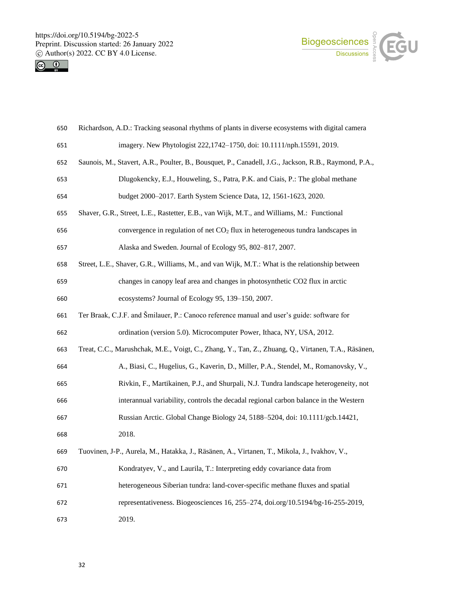



| 650 | Richardson, A.D.: Tracking seasonal rhythms of plants in diverse ecosystems with digital camera      |
|-----|------------------------------------------------------------------------------------------------------|
| 651 | imagery. New Phytologist 222,1742-1750, doi: 10.1111/nph.15591, 2019.                                |
| 652 | Saunois, M., Stavert, A.R., Poulter, B., Bousquet, P., Canadell, J.G., Jackson, R.B., Raymond, P.A., |
| 653 | Dlugokencky, E.J., Houweling, S., Patra, P.K. and Ciais, P.: The global methane                      |
| 654 | budget 2000-2017. Earth System Science Data, 12, 1561-1623, 2020.                                    |
| 655 | Shaver, G.R., Street, L.E., Rastetter, E.B., van Wijk, M.T., and Williams, M.: Functional            |
| 656 | convergence in regulation of net $CO2$ flux in heterogeneous tundra landscapes in                    |
| 657 | Alaska and Sweden. Journal of Ecology 95, 802-817, 2007.                                             |
| 658 | Street, L.E., Shaver, G.R., Williams, M., and van Wijk, M.T.: What is the relationship between       |
| 659 | changes in canopy leaf area and changes in photosynthetic CO2 flux in arctic                         |
| 660 | ecosystems? Journal of Ecology 95, 139-150, 2007.                                                    |
| 661 | Ter Braak, C.J.F. and Šmilauer, P.: Canoco reference manual and user's guide: software for           |
| 662 | ordination (version 5.0). Microcomputer Power, Ithaca, NY, USA, 2012.                                |
| 663 | Treat, C.C., Marushchak, M.E., Voigt, C., Zhang, Y., Tan, Z., Zhuang, Q., Virtanen, T.A., Räsänen,   |
| 664 | A., Biasi, C., Hugelius, G., Kaverin, D., Miller, P.A., Stendel, M., Romanovsky, V.,                 |
| 665 | Rivkin, F., Martikainen, P.J., and Shurpali, N.J. Tundra landscape heterogeneity, not                |
| 666 | interannual variability, controls the decadal regional carbon balance in the Western                 |
| 667 | Russian Arctic. Global Change Biology 24, 5188-5204, doi: 10.1111/gcb.14421,                         |
| 668 | 2018.                                                                                                |
| 669 | Tuovinen, J-P., Aurela, M., Hatakka, J., Räsänen, A., Virtanen, T., Mikola, J., Ivakhov, V.,         |
| 670 | Kondratyev, V., and Laurila, T.: Interpreting eddy covariance data from                              |
| 671 | heterogeneous Siberian tundra: land-cover-specific methane fluxes and spatial                        |
| 672 | representativeness. Biogeosciences 16, 255-274, doi.org/10.5194/bg-16-255-2019,                      |
| 673 | 2019.                                                                                                |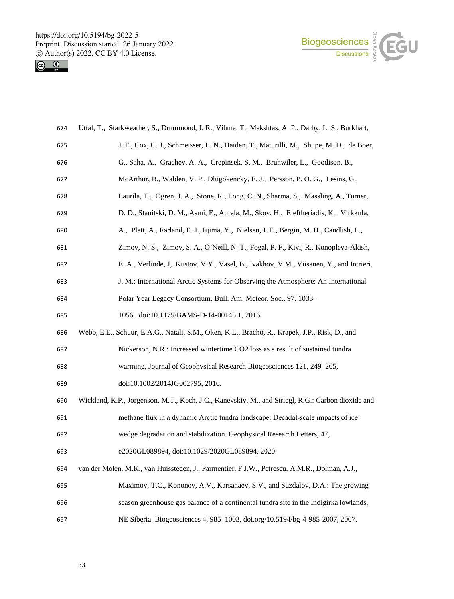



| 674 | Uttal, T., Starkweather, S., Drummond, J. R., Vihma, T., Makshtas, A. P., Darby, L. S., Burkhart, |
|-----|---------------------------------------------------------------------------------------------------|
| 675 | J. F., Cox, C. J., Schmeisser, L. N., Haiden, T., Maturilli, M., Shupe, M. D., de Boer,           |
| 676 | G., Saha, A., Grachev, A. A., Crepinsek, S. M., Bruhwiler, L., Goodison, B.,                      |
| 677 | McArthur, B., Walden, V. P., Dlugokencky, E. J., Persson, P. O. G., Lesins, G.,                   |
| 678 | Laurila, T., Ogren, J. A., Stone, R., Long, C. N., Sharma, S., Massling, A., Turner,              |
| 679 | D. D., Stanitski, D. M., Asmi, E., Aurela, M., Skov, H., Eleftheriadis, K., Virkkula,             |
| 680 | A., Platt, A., Førland, E. J., Iijima, Y., Nielsen, I. E., Bergin, M. H., Candlish, L.,           |
| 681 | Zimov, N. S., Zimov, S. A., O'Neill, N. T., Fogal, P. F., Kivi, R., Konopleva-Akish,              |
| 682 | E. A., Verlinde, J., Kustov, V.Y., Vasel, B., Ivakhov, V.M., Viisanen, Y., and Intrieri,          |
| 683 | J. M.: International Arctic Systems for Observing the Atmosphere: An International                |
| 684 | Polar Year Legacy Consortium. Bull. Am. Meteor. Soc., 97, 1033-                                   |
| 685 | 1056. doi:10.1175/BAMS-D-14-00145.1, 2016.                                                        |
| 686 | Webb, E.E., Schuur, E.A.G., Natali, S.M., Oken, K.L., Bracho, R., Krapek, J.P., Risk, D., and     |
| 687 | Nickerson, N.R.: Increased wintertime CO2 loss as a result of sustained tundra                    |
| 688 | warming, Journal of Geophysical Research Biogeosciences 121, 249–265,                             |
| 689 | doi:10.1002/2014JG002795, 2016.                                                                   |
| 690 | Wickland, K.P., Jorgenson, M.T., Koch, J.C., Kanevskiy, M., and Striegl, R.G.: Carbon dioxide and |
| 691 | methane flux in a dynamic Arctic tundra landscape: Decadal-scale impacts of ice                   |
| 692 | wedge degradation and stabilization. Geophysical Research Letters, 47,                            |
| 693 | e2020GL089894, doi:10.1029/2020GL089894, 2020.                                                    |
| 694 | van der Molen, M.K., van Huissteden, J., Parmentier, F.J.W., Petrescu, A.M.R., Dolman, A.J.,      |
| 695 | Maximov, T.C., Kononov, A.V., Karsanaev, S.V., and Suzdalov, D.A.: The growing                    |
| 696 | season greenhouse gas balance of a continental tundra site in the Indigirka lowlands,             |
| 697 | NE Siberia. Biogeosciences 4, 985-1003, doi.org/10.5194/bg-4-985-2007, 2007.                      |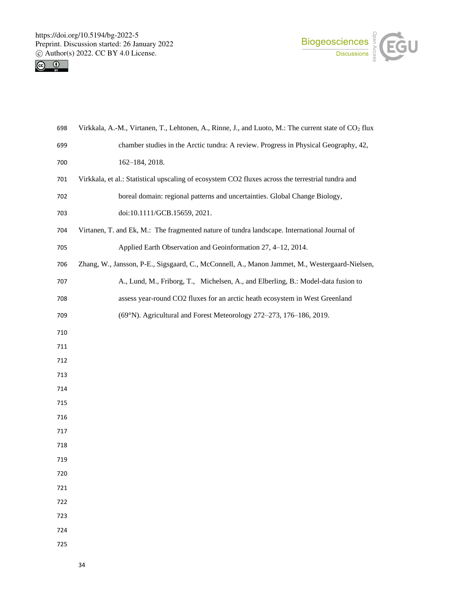



| 698 | Virkkala, A.-M., Virtanen, T., Lehtonen, A., Rinne, J., and Luoto, M.: The current state of CO <sub>2</sub> flux |
|-----|------------------------------------------------------------------------------------------------------------------|
| 699 | chamber studies in the Arctic tundra: A review. Progress in Physical Geography, 42,                              |
| 700 | 162-184, 2018.                                                                                                   |
| 701 | Virkkala, et al.: Statistical upscaling of ecosystem CO2 fluxes across the terrestrial tundra and                |
| 702 | boreal domain: regional patterns and uncertainties. Global Change Biology,                                       |
| 703 | doi:10.1111/GCB.15659, 2021.                                                                                     |
| 704 | Virtanen, T. and Ek, M.: The fragmented nature of tundra landscape. International Journal of                     |
| 705 | Applied Earth Observation and Geoinformation 27, 4-12, 2014.                                                     |
| 706 | Zhang, W., Jansson, P-E., Sigsgaard, C., McConnell, A., Manon Jammet, M., Westergaard-Nielsen,                   |
| 707 | A., Lund, M., Friborg, T., Michelsen, A., and Elberling, B.: Model-data fusion to                                |
| 708 | assess year-round CO2 fluxes for an arctic heath ecosystem in West Greenland                                     |
| 709 | (69°N). Agricultural and Forest Meteorology 272-273, 176-186, 2019.                                              |
| 710 |                                                                                                                  |
| 711 |                                                                                                                  |
| 712 |                                                                                                                  |
| 713 |                                                                                                                  |
| 714 |                                                                                                                  |
| 715 |                                                                                                                  |
| 716 |                                                                                                                  |
| 717 |                                                                                                                  |
| 718 |                                                                                                                  |
| 719 |                                                                                                                  |
| 720 |                                                                                                                  |
| 721 |                                                                                                                  |
| 722 |                                                                                                                  |
| 723 |                                                                                                                  |
| 724 |                                                                                                                  |
| 725 |                                                                                                                  |